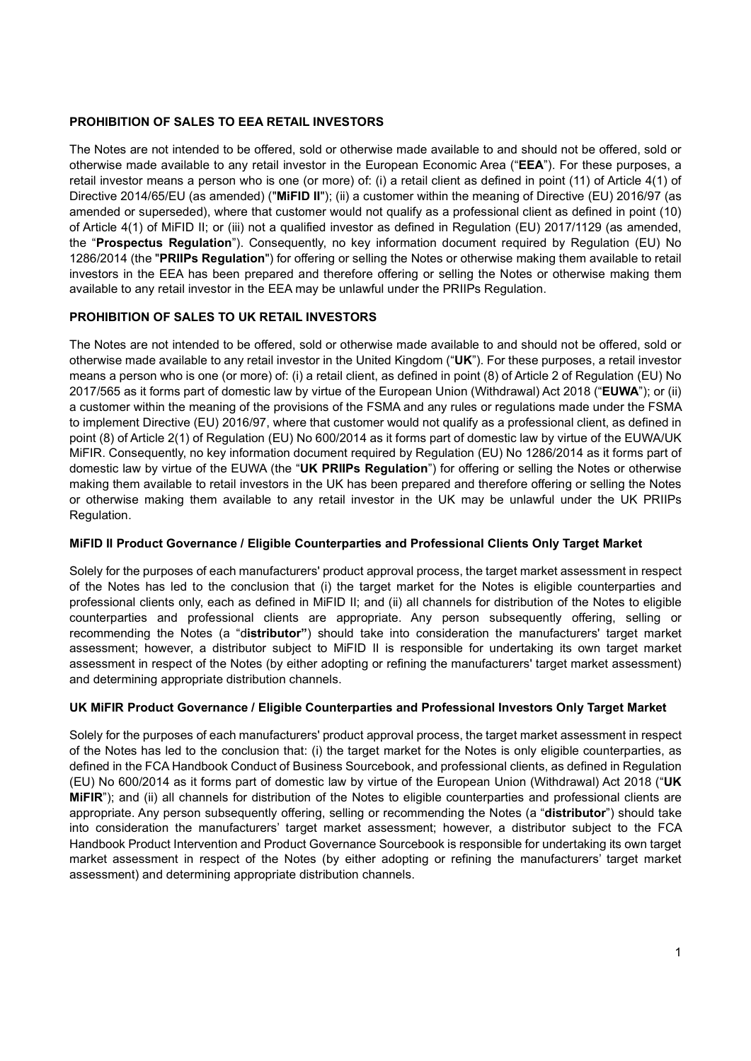# PROHIBITION OF SALES TO EEA RETAIL INVESTORS

The Notes are not intended to be offered, sold or otherwise made available to and should not be offered, sold or otherwise made available to any retail investor in the European Economic Area ("EEA"). For these purposes, a retail investor means a person who is one (or more) of: (i) a retail client as defined in point (11) of Article 4(1) of Directive 2014/65/EU (as amended) ("MiFID II"); (ii) a customer within the meaning of Directive (EU) 2016/97 (as amended or superseded), where that customer would not qualify as a professional client as defined in point (10) of Article 4(1) of MiFID II; or (iii) not a qualified investor as defined in Regulation (EU) 2017/1129 (as amended, the "Prospectus Regulation"). Consequently, no key information document required by Regulation (EU) No 1286/2014 (the "PRIIPs Requiation") for offering or selling the Notes or otherwise making them available to retail investors in the EEA has been prepared and therefore offering or selling the Notes or otherwise making them available to any retail investor in the EEA may be unlawful under the PRIIPs Regulation.

# PROHIBITION OF SALES TO UK RETAIL INVESTORS

The Notes are not intended to be offered, sold or otherwise made available to and should not be offered, sold or otherwise made available to any retail investor in the United Kingdom ("UK"). For these purposes, a retail investor means a person who is one (or more) of: (i) a retail client, as defined in point (8) of Article 2 of Regulation (EU) No 2017/565 as it forms part of domestic law by virtue of the European Union (Withdrawal) Act 2018 ("EUWA"); or (ii) a customer within the meaning of the provisions of the FSMA and any rules or regulations made under the FSMA to implement Directive (EU) 2016/97, where that customer would not qualify as a professional client, as defined in point (8) of Article 2(1) of Regulation (EU) No 600/2014 as it forms part of domestic law by virtue of the EUWA/UK MiFIR. Consequently, no key information document required by Regulation (EU) No 1286/2014 as it forms part of domestic law by virtue of the EUWA (the "UK PRIIPs Regulation") for offering or selling the Notes or otherwise making them available to retail investors in the UK has been prepared and therefore offering or selling the Notes or otherwise making them available to any retail investor in the UK may be unlawful under the UK PRIIPs Regulation.

# MiFID II Product Governance / Eligible Counterparties and Professional Clients Only Target Market

Solely for the purposes of each manufacturers' product approval process, the target market assessment in respect of the Notes has led to the conclusion that (i) the target market for the Notes is eligible counterparties and professional clients only, each as defined in MiFID II; and (ii) all channels for distribution of the Notes to eligible counterparties and professional clients are appropriate. Any person subsequently offering, selling or recommending the Notes (a "distributor") should take into consideration the manufacturers' target market assessment; however, a distributor subject to MiFID II is responsible for undertaking its own target market assessment in respect of the Notes (by either adopting or refining the manufacturers' target market assessment) and determining appropriate distribution channels.

## UK MiFIR Product Governance / Eligible Counterparties and Professional Investors Only Target Market

Solely for the purposes of each manufacturers' product approval process, the target market assessment in respect of the Notes has led to the conclusion that: (i) the target market for the Notes is only eligible counterparties, as defined in the FCA Handbook Conduct of Business Sourcebook, and professional clients, as defined in Regulation (EU) No 600/2014 as it forms part of domestic law by virtue of the European Union (Withdrawal) Act 2018 ("UK MiFIR"); and (ii) all channels for distribution of the Notes to eligible counterparties and professional clients are appropriate. Any person subsequently offering, selling or recommending the Notes (a "distributor") should take into consideration the manufacturers' target market assessment; however, a distributor subject to the FCA Handbook Product Intervention and Product Governance Sourcebook is responsible for undertaking its own target market assessment in respect of the Notes (by either adopting or refining the manufacturers' target market assessment) and determining appropriate distribution channels.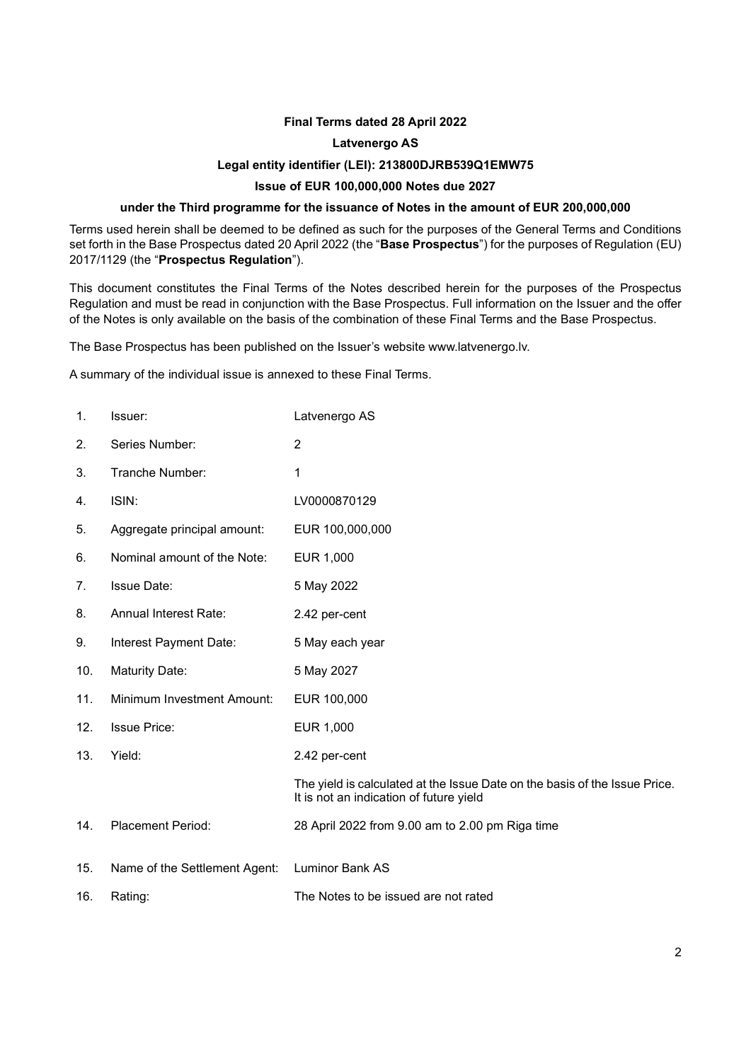# Final Terms dated 28 April 2022

## Latvenergo AS

## Legal entity identifier (LEI): 213800DJRB539Q1EMW75

# Issue of EUR 100,000,000 Notes due 2027

## under the Third programme for the issuance of Notes in the amount of EUR 200,000,000

Terms used herein shall be deemed to be defined as such for the purposes of the General Terms and Conditions set forth in the Base Prospectus dated 20 April 2022 (the "Base Prospectus") for the purposes of Regulation (EU) 2017/1129 (the "Prospectus Regulation").

This document constitutes the Final Terms of the Notes described herein for the purposes of the Prospectus Regulation and must be read in conjunction with the Base Prospectus. Full information on the Issuer and the offer of the Notes is only available on the basis of the combination of these Final Terms and the Base Prospectus.

The Base Prospectus has been published on the Issuer's website www.latvenergo.lv.

A summary of the individual issue is annexed to these Final Terms.

| 1.  | Issuer:                       | Latvenergo AS                                                                                                         |
|-----|-------------------------------|-----------------------------------------------------------------------------------------------------------------------|
| 2.  | Series Number:                | $\overline{2}$                                                                                                        |
| 3.  | Tranche Number:               | 1                                                                                                                     |
| 4.  | ISIN:                         | LV0000870129                                                                                                          |
| 5.  | Aggregate principal amount:   | EUR 100,000,000                                                                                                       |
| 6.  | Nominal amount of the Note:   | EUR 1,000                                                                                                             |
| 7.  | <b>Issue Date:</b>            | 5 May 2022                                                                                                            |
| 8.  | <b>Annual Interest Rate:</b>  | 2.42 per-cent                                                                                                         |
| 9.  | Interest Payment Date:        | 5 May each year                                                                                                       |
| 10. | Maturity Date:                | 5 May 2027                                                                                                            |
| 11. | Minimum Investment Amount:    | EUR 100,000                                                                                                           |
| 12. | <b>Issue Price:</b>           | EUR 1,000                                                                                                             |
| 13. | Yield:                        | 2.42 per-cent                                                                                                         |
|     |                               | The yield is calculated at the Issue Date on the basis of the Issue Price.<br>It is not an indication of future yield |
| 14. | <b>Placement Period:</b>      | 28 April 2022 from 9.00 am to 2.00 pm Riga time                                                                       |
| 15. | Name of the Settlement Agent: | <b>Luminor Bank AS</b>                                                                                                |
| 16. | Rating:                       | The Notes to be issued are not rated                                                                                  |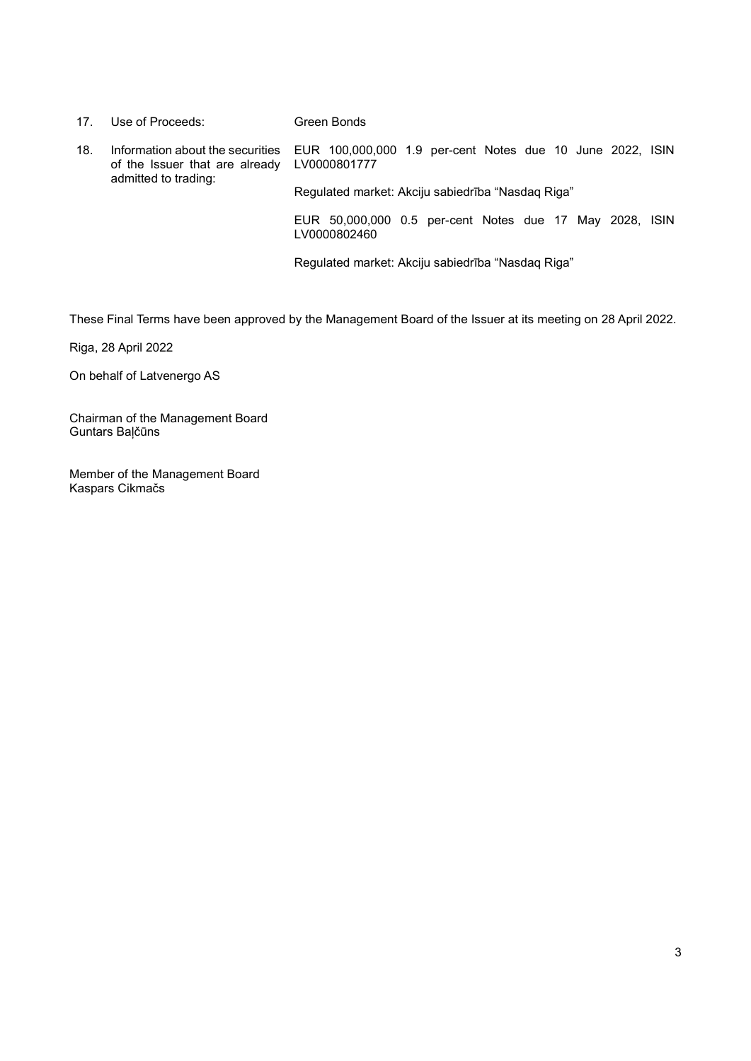| 17.                                                                                                            | Use of Proceeds:                                  | Green Bonds                                                             |
|----------------------------------------------------------------------------------------------------------------|---------------------------------------------------|-------------------------------------------------------------------------|
| 18.<br>Information about the securities<br>of the Issuer that are already LV0000801777<br>admitted to trading: |                                                   | EUR 100,000,000 1.9 per-cent Notes due 10 June 2022, ISIN               |
|                                                                                                                | Regulated market: Akciju sabiedrība "Nasdag Riga" |                                                                         |
|                                                                                                                |                                                   | EUR 50,000,000 0.5 per-cent Notes due 17 May 2028, ISIN<br>LV0000802460 |
|                                                                                                                |                                                   | Regulated market: Akciju sabiedrība "Nasdaq Riga"                       |

These Final Terms have been approved by the Management Board of the Issuer at its meeting on 28 April 2022.

Riga, 28 April 2022

On behalf of Latvenergo AS

Chairman of the Management Board Guntars Baļčūns

Member of the Management Board Kaspars Cikmačs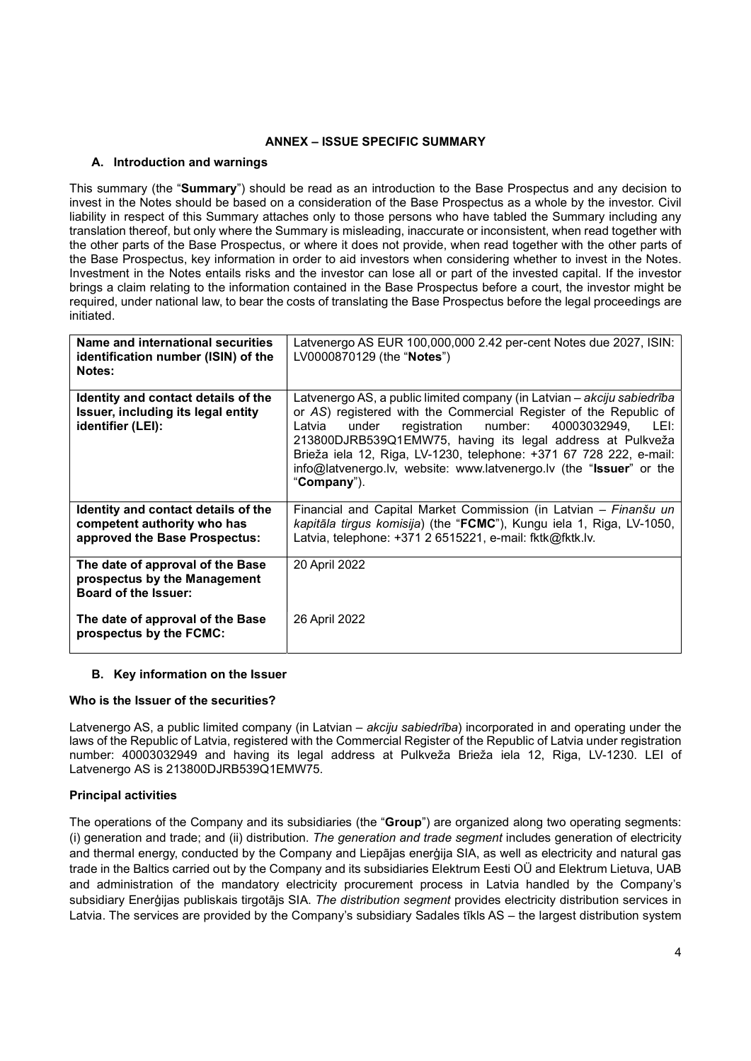# ANNEX – ISSUE SPECIFIC SUMMARY

# A. Introduction and warnings

This summary (the "Summary") should be read as an introduction to the Base Prospectus and any decision to invest in the Notes should be based on a consideration of the Base Prospectus as a whole by the investor. Civil liability in respect of this Summary attaches only to those persons who have tabled the Summary including any translation thereof, but only where the Summary is misleading, inaccurate or inconsistent, when read together with the other parts of the Base Prospectus, or where it does not provide, when read together with the other parts of the Base Prospectus, key information in order to aid investors when considering whether to invest in the Notes. Investment in the Notes entails risks and the investor can lose all or part of the invested capital. If the investor brings a claim relating to the information contained in the Base Prospectus before a court, the investor might be required, under national law, to bear the costs of translating the Base Prospectus before the legal proceedings are initiated.

| Name and international securities<br>identification number (ISIN) of the<br>Notes:                  | Latvenergo AS EUR 100,000,000 2.42 per-cent Notes due 2027, ISIN:<br>LV0000870129 (the "Notes")                                                                                                                                                                                                                                                                                                                                           |
|-----------------------------------------------------------------------------------------------------|-------------------------------------------------------------------------------------------------------------------------------------------------------------------------------------------------------------------------------------------------------------------------------------------------------------------------------------------------------------------------------------------------------------------------------------------|
| Identity and contact details of the<br>Issuer, including its legal entity<br>identifier (LEI):      | Latvenergo AS, a public limited company (in Latvian – akciju sabiedrība<br>or AS) registered with the Commercial Register of the Republic of<br>registration number:<br>40003032949,<br>LEI:<br>Latvia<br>under<br>213800DJRB539Q1EMW75, having its legal address at Pulkveža<br>Brieža iela 12, Riga, LV-1230, telephone: +371 67 728 222, e-mail:<br>info@latvenergo.lv, website: www.latvenergo.lv (the "Issuer" or the<br>"Company"). |
| Identity and contact details of the<br>competent authority who has<br>approved the Base Prospectus: | Financial and Capital Market Commission (in Latvian - Finanšu un<br>kapitāla tirgus komisija) (the "FCMC"), Kungu iela 1, Riga, LV-1050,<br>Latvia, telephone: +371 2 6515221, e-mail: fktk@fktk.lv.                                                                                                                                                                                                                                      |
| The date of approval of the Base<br>prospectus by the Management<br><b>Board of the Issuer:</b>     | 20 April 2022                                                                                                                                                                                                                                                                                                                                                                                                                             |
| The date of approval of the Base<br>prospectus by the FCMC:                                         | 26 April 2022                                                                                                                                                                                                                                                                                                                                                                                                                             |

## B. Key information on the Issuer

## Who is the Issuer of the securities?

Latvenergo AS, a public limited company (in Latvian – *akciju sabiedrība*) incorporated in and operating under the laws of the Republic of Latvia, registered with the Commercial Register of the Republic of Latvia under registration number: 40003032949 and having its legal address at Pulkveža Brieža iela 12, Riga, LV-1230. LEI of Latvenergo AS is 213800DJRB539Q1EMW75.

## Principal activities

The operations of the Company and its subsidiaries (the "Group") are organized along two operating segments: (i) generation and trade; and (ii) distribution. The generation and trade segment includes generation of electricity and thermal energy, conducted by the Company and Liepājas enerģija SIA, as well as electricity and natural gas trade in the Baltics carried out by the Company and its subsidiaries Elektrum Eesti OÜ and Elektrum Lietuva, UAB and administration of the mandatory electricity procurement process in Latvia handled by the Company's subsidiary Enerģijas publiskais tirgotājs SIA. The distribution segment provides electricity distribution services in Latvia. The services are provided by the Company's subsidiary Sadales tīkls AS – the largest distribution system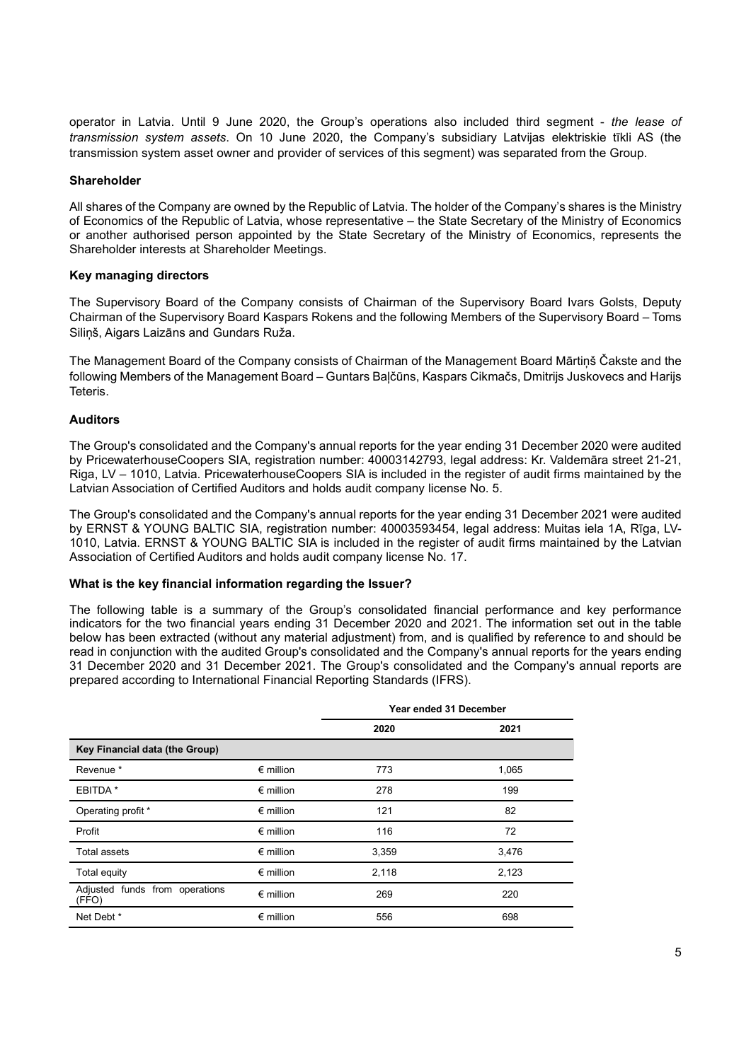operator in Latvia. Until 9 June 2020, the Group's operations also included third segment - the lease of transmission system assets. On 10 June 2020, the Company's subsidiary Latvijas elektriskie tīkli AS (the transmission system asset owner and provider of services of this segment) was separated from the Group.

## Shareholder

All shares of the Company are owned by the Republic of Latvia. The holder of the Company's shares is the Ministry of Economics of the Republic of Latvia, whose representative – the State Secretary of the Ministry of Economics or another authorised person appointed by the State Secretary of the Ministry of Economics, represents the Shareholder interests at Shareholder Meetings.

#### Key managing directors

The Supervisory Board of the Company consists of Chairman of the Supervisory Board Ivars Golsts, Deputy Chairman of the Supervisory Board Kaspars Rokens and the following Members of the Supervisory Board – Toms Siliņš, Aigars Laizāns and Gundars Ruža.

The Management Board of the Company consists of Chairman of the Management Board Mārtiņš Čakste and the following Members of the Management Board – Guntars Baļčūns, Kaspars Cikmačs, Dmitrijs Juskovecs and Harijs Teteris.

## Auditors

The Group's consolidated and the Company's annual reports for the year ending 31 December 2020 were audited by PricewaterhouseCoopers SIA, registration number: 40003142793, legal address: Kr. Valdemāra street 21-21, Riga, LV – 1010, Latvia. PricewaterhouseCoopers SIA is included in the register of audit firms maintained by the Latvian Association of Certified Auditors and holds audit company license No. 5.

The Group's consolidated and the Company's annual reports for the year ending 31 December 2021 were audited by ERNST & YOUNG BALTIC SIA, registration number: 40003593454, legal address: Muitas iela 1A, Rīga, LV-1010, Latvia. ERNST & YOUNG BALTIC SIA is included in the register of audit firms maintained by the Latvian Association of Certified Auditors and holds audit company license No. 17.

#### What is the key financial information regarding the Issuer?

The following table is a summary of the Group's consolidated financial performance and key performance indicators for the two financial years ending 31 December 2020 and 2021. The information set out in the table below has been extracted (without any material adjustment) from, and is qualified by reference to and should be read in conjunction with the audited Group's consolidated and the Company's annual reports for the years ending 31 December 2020 and 31 December 2021. The Group's consolidated and the Company's annual reports are prepared according to International Financial Reporting Standards (IFRS).

|                                         | Year ended 31 December |       |       |
|-----------------------------------------|------------------------|-------|-------|
|                                         |                        | 2020  | 2021  |
| Key Financial data (the Group)          |                        |       |       |
| Revenue <sup>*</sup>                    | $\epsilon$ million     | 773   | 1,065 |
| EBITDA *                                | $\epsilon$ million     | 278   | 199   |
| Operating profit *                      | $\epsilon$ million     | 121   | 82    |
| Profit                                  | $\epsilon$ million     | 116   | 72    |
| Total assets                            | $\epsilon$ million     | 3,359 | 3,476 |
| Total equity                            | $\epsilon$ million     | 2,118 | 2,123 |
| Adjusted funds from operations<br>(FFO) | $\epsilon$ million     | 269   | 220   |
| Net Debt *                              | $\epsilon$ million     | 556   | 698   |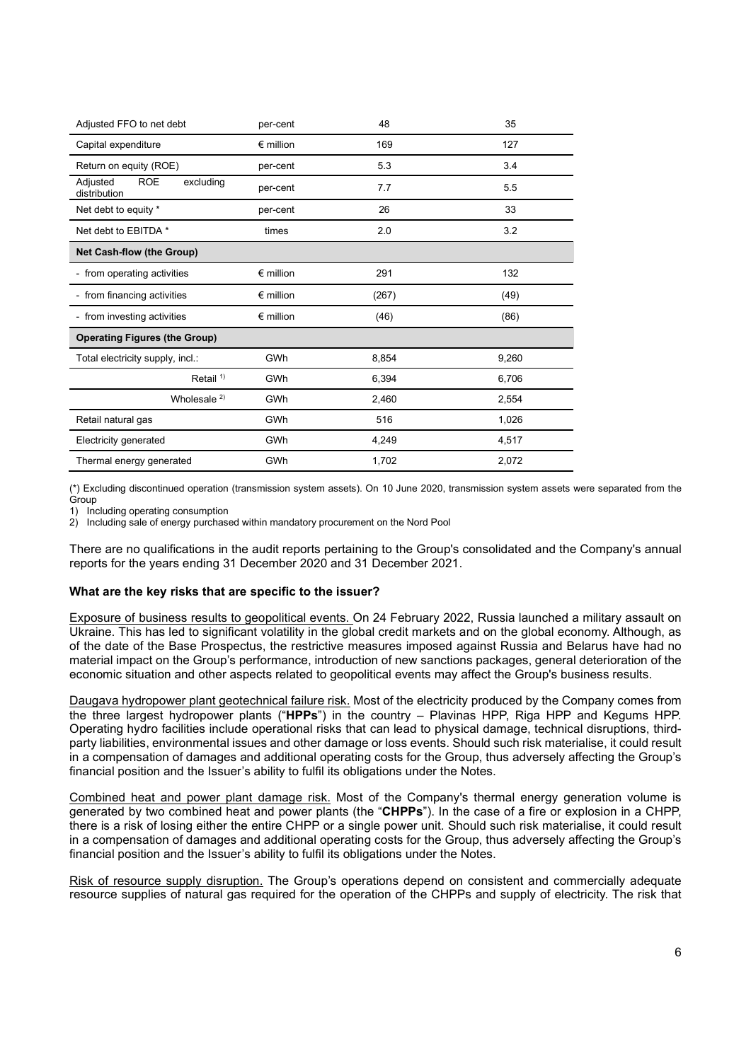| Adjusted FFO to net debt                            | per-cent           | 48    | 35    |
|-----------------------------------------------------|--------------------|-------|-------|
| Capital expenditure                                 | $\epsilon$ million | 169   | 127   |
| Return on equity (ROE)                              | per-cent           | 5.3   | 3.4   |
| <b>ROE</b><br>Adjusted<br>excluding<br>distribution | per-cent           | 7.7   | 5.5   |
| Net debt to equity *                                | per-cent           | 26    | 33    |
| Net debt to EBITDA *                                | times              | 2.0   | 3.2   |
| <b>Net Cash-flow (the Group)</b>                    |                    |       |       |
| - from operating activities                         | $\epsilon$ million | 291   | 132   |
| - from financing activities                         | $\epsilon$ million | (267) | (49)  |
| - from investing activities                         | $\epsilon$ million | (46)  | (86)  |
| <b>Operating Figures (the Group)</b>                |                    |       |       |
| Total electricity supply, incl.:                    | GWh                | 8,854 | 9,260 |
| Retail $1$                                          | GWh                | 6,394 | 6,706 |
| Wholesale $2)$                                      | GWh                | 2,460 | 2,554 |
| Retail natural gas                                  | GWh                | 516   | 1,026 |
| <b>Electricity generated</b>                        | GWh                | 4,249 | 4,517 |
| Thermal energy generated                            | GWh                | 1,702 | 2,072 |

(\*) Excluding discontinued operation (transmission system assets). On 10 June 2020, transmission system assets were separated from the **Group** 

1) Including operating consumption

2) Including sale of energy purchased within mandatory procurement on the Nord Pool

There are no qualifications in the audit reports pertaining to the Group's consolidated and the Company's annual reports for the years ending 31 December 2020 and 31 December 2021.

## What are the key risks that are specific to the issuer?

Exposure of business results to geopolitical events. On 24 February 2022, Russia launched a military assault on Ukraine. This has led to significant volatility in the global credit markets and on the global economy. Although, as of the date of the Base Prospectus, the restrictive measures imposed against Russia and Belarus have had no material impact on the Group's performance, introduction of new sanctions packages, general deterioration of the economic situation and other aspects related to geopolitical events may affect the Group's business results.

Daugava hydropower plant geotechnical failure risk. Most of the electricity produced by the Company comes from the three largest hydropower plants ("HPPs") in the country – Plavinas HPP, Riga HPP and Kegums HPP. Operating hydro facilities include operational risks that can lead to physical damage, technical disruptions, thirdparty liabilities, environmental issues and other damage or loss events. Should such risk materialise, it could result in a compensation of damages and additional operating costs for the Group, thus adversely affecting the Group's financial position and the Issuer's ability to fulfil its obligations under the Notes.

Combined heat and power plant damage risk. Most of the Company's thermal energy generation volume is generated by two combined heat and power plants (the "CHPPs"). In the case of a fire or explosion in a CHPP, there is a risk of losing either the entire CHPP or a single power unit. Should such risk materialise, it could result in a compensation of damages and additional operating costs for the Group, thus adversely affecting the Group's financial position and the Issuer's ability to fulfil its obligations under the Notes.

Risk of resource supply disruption. The Group's operations depend on consistent and commercially adequate resource supplies of natural gas required for the operation of the CHPPs and supply of electricity. The risk that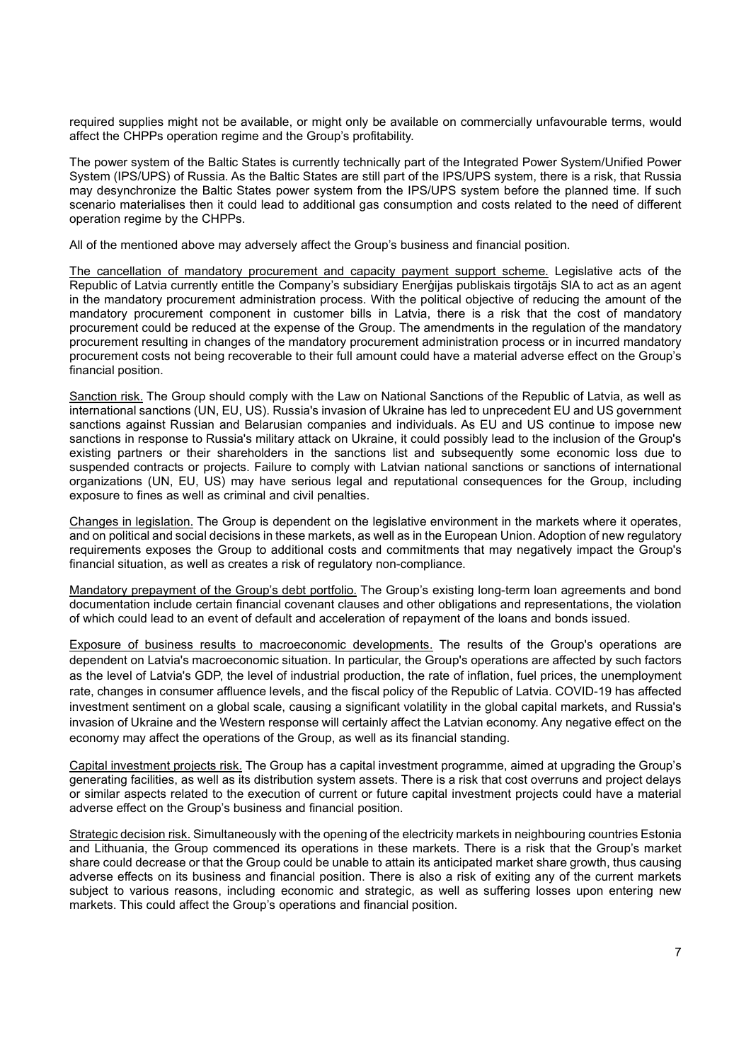required supplies might not be available, or might only be available on commercially unfavourable terms, would affect the CHPPs operation regime and the Group's profitability.

The power system of the Baltic States is currently technically part of the Integrated Power System/Unified Power System (IPS/UPS) of Russia. As the Baltic States are still part of the IPS/UPS system, there is a risk, that Russia may desynchronize the Baltic States power system from the IPS/UPS system before the planned time. If such scenario materialises then it could lead to additional gas consumption and costs related to the need of different operation regime by the CHPPs.

All of the mentioned above may adversely affect the Group's business and financial position.

The cancellation of mandatory procurement and capacity payment support scheme. Legislative acts of the Republic of Latvia currently entitle the Company's subsidiary Enerģijas publiskais tirgotājs SIA to act as an agent in the mandatory procurement administration process. With the political objective of reducing the amount of the mandatory procurement component in customer bills in Latvia, there is a risk that the cost of mandatory procurement could be reduced at the expense of the Group. The amendments in the regulation of the mandatory procurement resulting in changes of the mandatory procurement administration process or in incurred mandatory procurement costs not being recoverable to their full amount could have a material adverse effect on the Group's financial position.

Sanction risk. The Group should comply with the Law on National Sanctions of the Republic of Latvia, as well as international sanctions (UN, EU, US). Russia's invasion of Ukraine has led to unprecedent EU and US government sanctions against Russian and Belarusian companies and individuals. As EU and US continue to impose new sanctions in response to Russia's military attack on Ukraine, it could possibly lead to the inclusion of the Group's existing partners or their shareholders in the sanctions list and subsequently some economic loss due to suspended contracts or projects. Failure to comply with Latvian national sanctions or sanctions of international organizations (UN, EU, US) may have serious legal and reputational consequences for the Group, including exposure to fines as well as criminal and civil penalties.

Changes in legislation. The Group is dependent on the legislative environment in the markets where it operates, and on political and social decisions in these markets, as well as in the European Union. Adoption of new regulatory requirements exposes the Group to additional costs and commitments that may negatively impact the Group's financial situation, as well as creates a risk of regulatory non-compliance.

Mandatory prepayment of the Group's debt portfolio. The Group's existing long-term loan agreements and bond documentation include certain financial covenant clauses and other obligations and representations, the violation of which could lead to an event of default and acceleration of repayment of the loans and bonds issued.

Exposure of business results to macroeconomic developments. The results of the Group's operations are dependent on Latvia's macroeconomic situation. In particular, the Group's operations are affected by such factors as the level of Latvia's GDP, the level of industrial production, the rate of inflation, fuel prices, the unemployment rate, changes in consumer affluence levels, and the fiscal policy of the Republic of Latvia. COVID-19 has affected investment sentiment on a global scale, causing a significant volatility in the global capital markets, and Russia's invasion of Ukraine and the Western response will certainly affect the Latvian economy. Any negative effect on the economy may affect the operations of the Group, as well as its financial standing.

Capital investment projects risk. The Group has a capital investment programme, aimed at upgrading the Group's generating facilities, as well as its distribution system assets. There is a risk that cost overruns and project delays or similar aspects related to the execution of current or future capital investment projects could have a material adverse effect on the Group's business and financial position.

Strategic decision risk. Simultaneously with the opening of the electricity markets in neighbouring countries Estonia and Lithuania, the Group commenced its operations in these markets. There is a risk that the Group's market share could decrease or that the Group could be unable to attain its anticipated market share growth, thus causing adverse effects on its business and financial position. There is also a risk of exiting any of the current markets subject to various reasons, including economic and strategic, as well as suffering losses upon entering new markets. This could affect the Group's operations and financial position.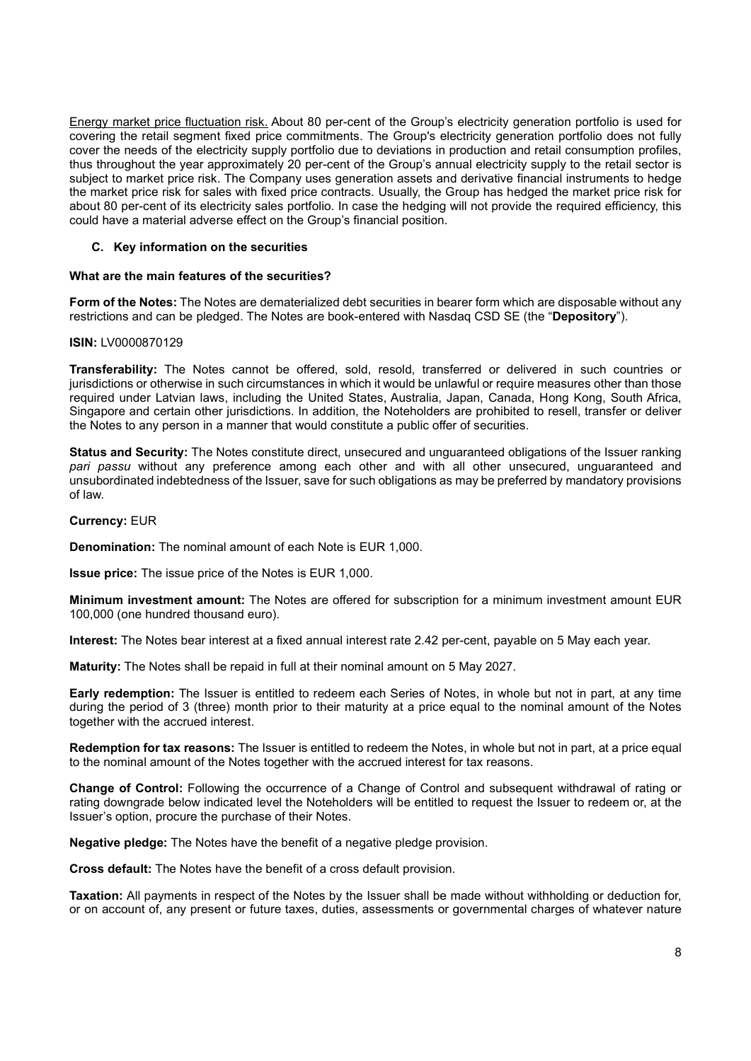Energy market price fluctuation risk. About 80 per-cent of the Group's electricity generation portfolio is used for covering the retail segment fixed price commitments. The Group's electricity generation portfolio does not fully cover the needs of the electricity supply portfolio due to deviations in production and retail consumption profiles, thus throughout the year approximately 20 per-cent of the Group's annual electricity supply to the retail sector is subject to market price risk. The Company uses generation assets and derivative financial instruments to hedge the market price risk for sales with fixed price contracts. Usually, the Group has hedged the market price risk for about 80 per-cent of its electricity sales portfolio. In case the hedging will not provide the required efficiency, this could have a material adverse effect on the Group's financial position.

# C. Key information on the securities

## What are the main features of the securities?

Form of the Notes: The Notes are dematerialized debt securities in bearer form which are disposable without any restrictions and can be pledged. The Notes are book-entered with Nasdaq CSD SE (the "Depository").

## ISIN: LV0000870129

Transferability: The Notes cannot be offered, sold, resold, transferred or delivered in such countries or jurisdictions or otherwise in such circumstances in which it would be unlawful or require measures other than those required under Latvian laws, including the United States, Australia, Japan, Canada, Hong Kong, South Africa, Singapore and certain other jurisdictions. In addition, the Noteholders are prohibited to resell, transfer or deliver the Notes to any person in a manner that would constitute a public offer of securities.

Status and Security: The Notes constitute direct, unsecured and unguaranteed obligations of the Issuer ranking pari passu without any preference among each other and with all other unsecured, unguaranteed and unsubordinated indebtedness of the Issuer, save for such obligations as may be preferred by mandatory provisions of law.

## Currency: EUR

Denomination: The nominal amount of each Note is EUR 1,000.

Issue price: The issue price of the Notes is EUR 1,000.

Minimum investment amount: The Notes are offered for subscription for a minimum investment amount EUR 100,000 (one hundred thousand euro).

Interest: The Notes bear interest at a fixed annual interest rate 2.42 per-cent, payable on 5 May each year.

Maturity: The Notes shall be repaid in full at their nominal amount on 5 May 2027.

Early redemption: The Issuer is entitled to redeem each Series of Notes, in whole but not in part, at any time during the period of 3 (three) month prior to their maturity at a price equal to the nominal amount of the Notes together with the accrued interest.

Redemption for tax reasons: The Issuer is entitled to redeem the Notes, in whole but not in part, at a price equal to the nominal amount of the Notes together with the accrued interest for tax reasons.

Change of Control: Following the occurrence of a Change of Control and subsequent withdrawal of rating or rating downgrade below indicated level the Noteholders will be entitled to request the Issuer to redeem or, at the Issuer's option, procure the purchase of their Notes.

Negative pledge: The Notes have the benefit of a negative pledge provision.

Cross default: The Notes have the benefit of a cross default provision.

**Taxation:** All payments in respect of the Notes by the Issuer shall be made without withholding or deduction for, or on account of, any present or future taxes, duties, assessments or governmental charges of whatever nature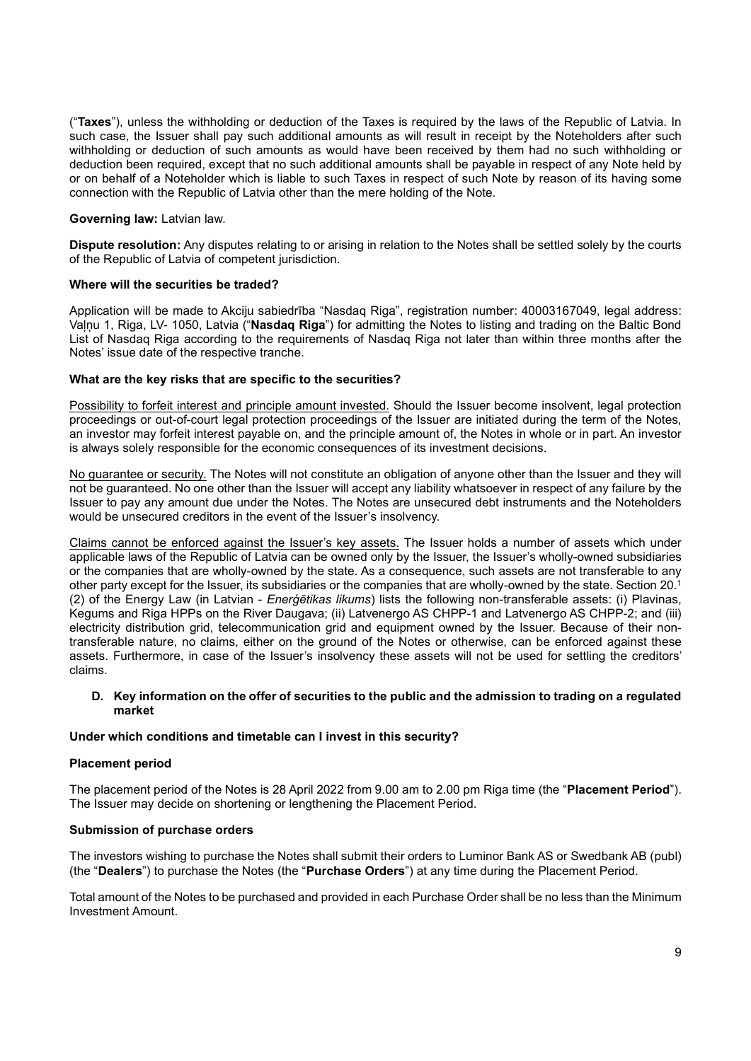("Taxes"), unless the withholding or deduction of the Taxes is required by the laws of the Republic of Latvia. In such case, the Issuer shall pay such additional amounts as will result in receipt by the Noteholders after such withholding or deduction of such amounts as would have been received by them had no such withholding or deduction been required, except that no such additional amounts shall be payable in respect of any Note held by or on behalf of a Noteholder which is liable to such Taxes in respect of such Note by reason of its having some connection with the Republic of Latvia other than the mere holding of the Note.

#### Governing law: Latvian law.

Dispute resolution: Any disputes relating to or arising in relation to the Notes shall be settled solely by the courts of the Republic of Latvia of competent jurisdiction.

#### Where will the securities be traded?

Application will be made to Akciju sabiedrība "Nasdaq Riga", registration number: 40003167049, legal address: Valnu 1, Riga, LV- 1050, Latvia ("Nasdaq Riga") for admitting the Notes to listing and trading on the Baltic Bond List of Nasdaq Riga according to the requirements of Nasdaq Riga not later than within three months after the Notes' issue date of the respective tranche.

#### What are the key risks that are specific to the securities?

Possibility to forfeit interest and principle amount invested. Should the Issuer become insolvent, legal protection proceedings or out-of-court legal protection proceedings of the Issuer are initiated during the term of the Notes, an investor may forfeit interest payable on, and the principle amount of, the Notes in whole or in part. An investor is always solely responsible for the economic consequences of its investment decisions.

No guarantee or security. The Notes will not constitute an obligation of anyone other than the Issuer and they will not be guaranteed. No one other than the Issuer will accept any liability whatsoever in respect of any failure by the Issuer to pay any amount due under the Notes. The Notes are unsecured debt instruments and the Noteholders would be unsecured creditors in the event of the Issuer's insolvency.

Claims cannot be enforced against the Issuer's key assets. The Issuer holds a number of assets which under applicable laws of the Republic of Latvia can be owned only by the Issuer, the Issuer's wholly-owned subsidiaries or the companies that are wholly-owned by the state. As a consequence, such assets are not transferable to any other party except for the Issuer, its subsidiaries or the companies that are wholly-owned by the state. Section 20.<sup>1</sup> (2) of the Energy Law (in Latvian - Enerģētikas likums) lists the following non-transferable assets: (i) Plavinas, Kegums and Riga HPPs on the River Daugava; (ii) Latvenergo AS CHPP-1 and Latvenergo AS CHPP-2; and (iii) electricity distribution grid, telecommunication grid and equipment owned by the Issuer. Because of their nontransferable nature, no claims, either on the ground of the Notes or otherwise, can be enforced against these assets. Furthermore, in case of the Issuer's insolvency these assets will not be used for settling the creditors' claims.

#### D. Key information on the offer of securities to the public and the admission to trading on a regulated market

#### Under which conditions and timetable can I invest in this security?

#### Placement period

The placement period of the Notes is 28 April 2022 from 9.00 am to 2.00 pm Riga time (the "Placement Period"). The Issuer may decide on shortening or lengthening the Placement Period.

#### Submission of purchase orders

The investors wishing to purchase the Notes shall submit their orders to Luminor Bank AS or Swedbank AB (publ) (the "Dealers") to purchase the Notes (the "Purchase Orders") at any time during the Placement Period.

Total amount of the Notes to be purchased and provided in each Purchase Order shall be no less than the Minimum Investment Amount.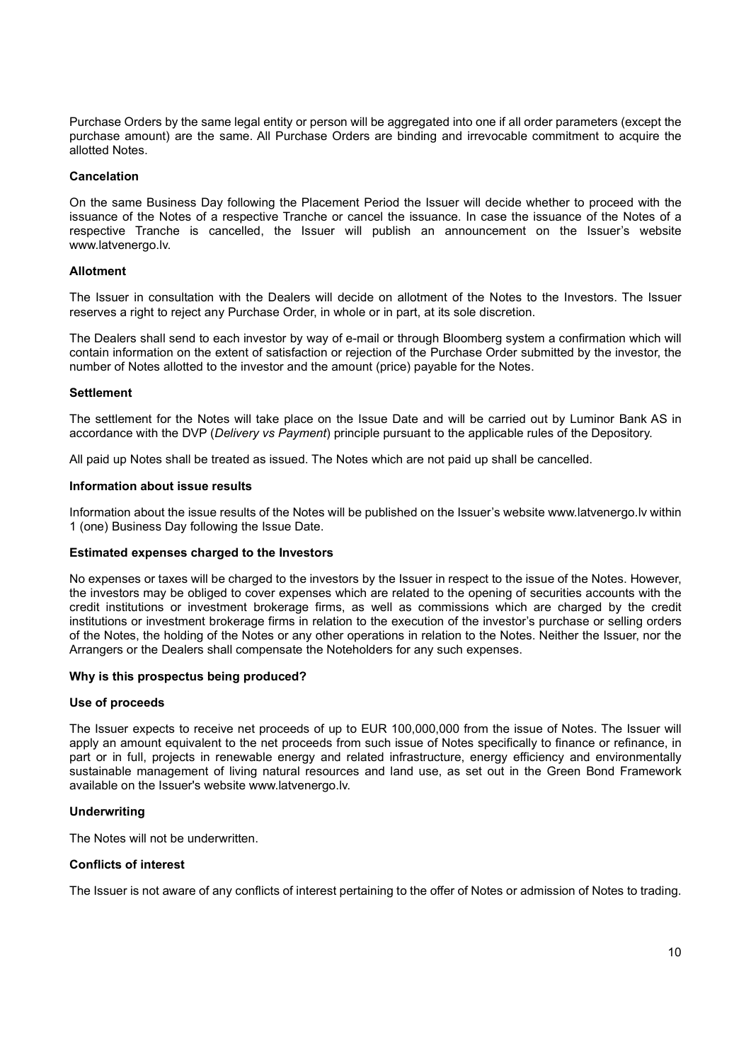Purchase Orders by the same legal entity or person will be aggregated into one if all order parameters (except the purchase amount) are the same. All Purchase Orders are binding and irrevocable commitment to acquire the allotted Notes.

#### Cancelation

On the same Business Day following the Placement Period the Issuer will decide whether to proceed with the issuance of the Notes of a respective Tranche or cancel the issuance. In case the issuance of the Notes of a respective Tranche is cancelled, the Issuer will publish an announcement on the Issuer's website www.latvenergo.lv.

#### Allotment

The Issuer in consultation with the Dealers will decide on allotment of the Notes to the Investors. The Issuer reserves a right to reject any Purchase Order, in whole or in part, at its sole discretion.

The Dealers shall send to each investor by way of e-mail or through Bloomberg system a confirmation which will contain information on the extent of satisfaction or rejection of the Purchase Order submitted by the investor, the number of Notes allotted to the investor and the amount (price) payable for the Notes.

#### **Settlement**

The settlement for the Notes will take place on the Issue Date and will be carried out by Luminor Bank AS in accordance with the DVP (Delivery vs Payment) principle pursuant to the applicable rules of the Depository.

All paid up Notes shall be treated as issued. The Notes which are not paid up shall be cancelled.

#### Information about issue results

Information about the issue results of the Notes will be published on the Issuer's website www.latvenergo.lv within 1 (one) Business Day following the Issue Date.

#### Estimated expenses charged to the Investors

No expenses or taxes will be charged to the investors by the Issuer in respect to the issue of the Notes. However, the investors may be obliged to cover expenses which are related to the opening of securities accounts with the credit institutions or investment brokerage firms, as well as commissions which are charged by the credit institutions or investment brokerage firms in relation to the execution of the investor's purchase or selling orders of the Notes, the holding of the Notes or any other operations in relation to the Notes. Neither the Issuer, nor the Arrangers or the Dealers shall compensate the Noteholders for any such expenses.

## Why is this prospectus being produced?

#### Use of proceeds

The Issuer expects to receive net proceeds of up to EUR 100,000,000 from the issue of Notes. The Issuer will apply an amount equivalent to the net proceeds from such issue of Notes specifically to finance or refinance, in part or in full, projects in renewable energy and related infrastructure, energy efficiency and environmentally sustainable management of living natural resources and land use, as set out in the Green Bond Framework available on the Issuer's website www.latvenergo.lv.

## **Underwriting**

The Notes will not be underwritten.

## Conflicts of interest

The Issuer is not aware of any conflicts of interest pertaining to the offer of Notes or admission of Notes to trading.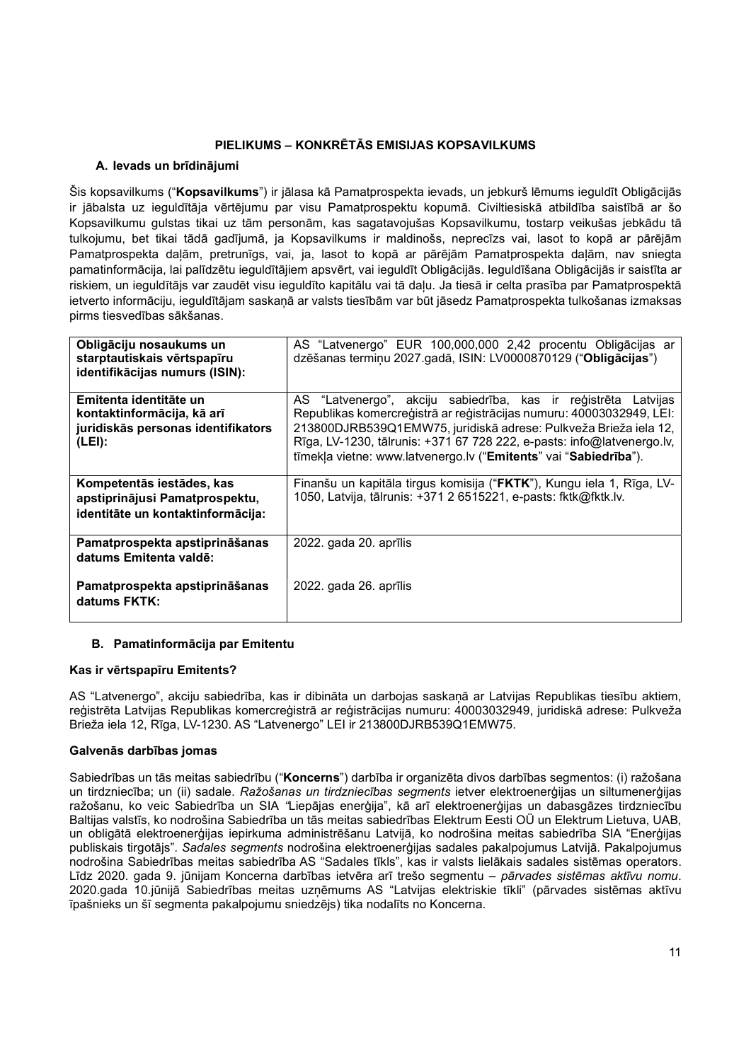# PIELIKUMS – KONKRĒTĀS EMISIJAS KOPSAVILKUMS

# A. Ievads un brīdinājumi

Šis kopsavilkums ("Kopsavilkums") ir jālasa kā Pamatprospekta ievads, un jebkurš lēmums ieguldīt Obligācijās ir jābalsta uz ieguldītāja vērtējumu par visu Pamatprospektu kopumā. Civiltiesiskā atbildība saistībā ar šo Kopsavilkumu gulstas tikai uz tām personām, kas sagatavojušas Kopsavilkumu, tostarp veikušas jebkādu tā tulkojumu, bet tikai tādā gadījumā, ja Kopsavilkums ir maldinošs, neprecīzs vai, lasot to kopā ar pārējām Pamatprospekta daļām, pretrunīgs, vai, ja, lasot to kopā ar pārējām Pamatprospekta daļām, nav sniegta pamatinformācija, lai palīdzētu ieguldītājiem apsvērt, vai ieguldīt Obligācijās. Ieguldīšana Obligācijās ir saistīta ar riskiem, un ieguldītājs var zaudēt visu ieguldīto kapitālu vai tā daļu. Ja tiesā ir celta prasība par Pamatprospektā ietverto informāciju, ieguldītājam saskaņā ar valsts tiesībām var būt jāsedz Pamatprospekta tulkošanas izmaksas pirms tiesvedības sākšanas.

| Obligāciju nosaukums un<br>starptautiskais vērtspapīru<br>identifikācijas numurs (ISIN):             | AS "Latvenergo" EUR 100,000,000 2,42 procentu Obligācijas ar<br>dzēšanas termiņu 2027.gadā, ISIN: LV0000870129 ("Obligācijas")                                                                                                                                                                                                                           |
|------------------------------------------------------------------------------------------------------|----------------------------------------------------------------------------------------------------------------------------------------------------------------------------------------------------------------------------------------------------------------------------------------------------------------------------------------------------------|
| Emitenta identitāte un<br>kontaktinformācija, kā arī<br>juridiskās personas identifikators<br>(LEI): | AS "Latvenergo", akciju sabiedrība, kas ir reģistrēta Latvijas<br>Republikas komercreģistrā ar reģistrācijas numuru: 40003032949, LEI:<br>213800DJRB539Q1EMW75, juridiskā adrese: Pulkveža Brieža iela 12,<br>Rīga, LV-1230, tālrunis: +371 67 728 222, e-pasts: info@latvenergo.lv,<br>tīmekļa vietne: www.latvenergo.lv ("Emitents" vai "Sabiedrība"). |
| Kompetentās iestādes, kas<br>apstiprinājusi Pamatprospektu,<br>identitāte un kontaktinformācija:     | Finanšu un kapitāla tirgus komisija ("FKTK"), Kungu iela 1, Rīga, LV-<br>1050, Latvija, tālrunis: +371 2 6515221, e-pasts: fktk@fktk.lv.                                                                                                                                                                                                                 |
| Pamatprospekta apstiprināšanas<br>datums Emitenta valdē:                                             | 2022. gada 20. aprīlis                                                                                                                                                                                                                                                                                                                                   |
| Pamatprospekta apstiprināšanas<br>datums FKTK:                                                       | 2022. gada 26. aprīlis                                                                                                                                                                                                                                                                                                                                   |

# B. Pamatinformācija par Emitentu

## Kas ir vērtspapīru Emitents?

AS "Latvenergo", akciju sabiedrība, kas ir dibināta un darbojas saskaņā ar Latvijas Republikas tiesību aktiem, reģistrēta Latvijas Republikas komercreģistrā ar reģistrācijas numuru: 40003032949, juridiskā adrese: Pulkveža Brieža iela 12, Rīga, LV-1230. AS "Latvenergo" LEI ir 213800DJRB539Q1EMW75.

## Galvenās darbības jomas

Sabiedrības un tās meitas sabiedrību ("Koncerns") darbība ir organizēta divos darbības segmentos: (i) ražošana un tirdzniecība; un (ii) sadale. Ražošanas un tirdzniecības segments ietver elektroenerģijas un siltumenerģijas ražošanu, ko veic Sabiedrība un SIA "Liepājas enerģija", kā arī elektroenerģijas un dabasgāzes tirdzniecību Baltijas valstīs, ko nodrošina Sabiedrība un tās meitas sabiedrības Elektrum Eesti OÜ un Elektrum Lietuva, UAB, un obligātā elektroenerģijas iepirkuma administrēšanu Latvijā, ko nodrošina meitas sabiedrība SIA "Enerģijas publiskais tirgotājs". Sadales segments nodrošina elektroenerģijas sadales pakalpojumus Latvijā. Pakalpojumus nodrošina Sabiedrības meitas sabiedrība AS "Sadales tīkls", kas ir valsts lielākais sadales sistēmas operators. Līdz 2020. gada 9. jūnijam Koncerna darbības ietvēra arī trešo segmentu - pārvades sistēmas aktīvu nomu. 2020.gada 10.jūnijā Sabiedrības meitas uzņēmums AS "Latvijas elektriskie tīkli" (pārvades sistēmas aktīvu īpašnieks un šī segmenta pakalpojumu sniedzējs) tika nodalīts no Koncerna.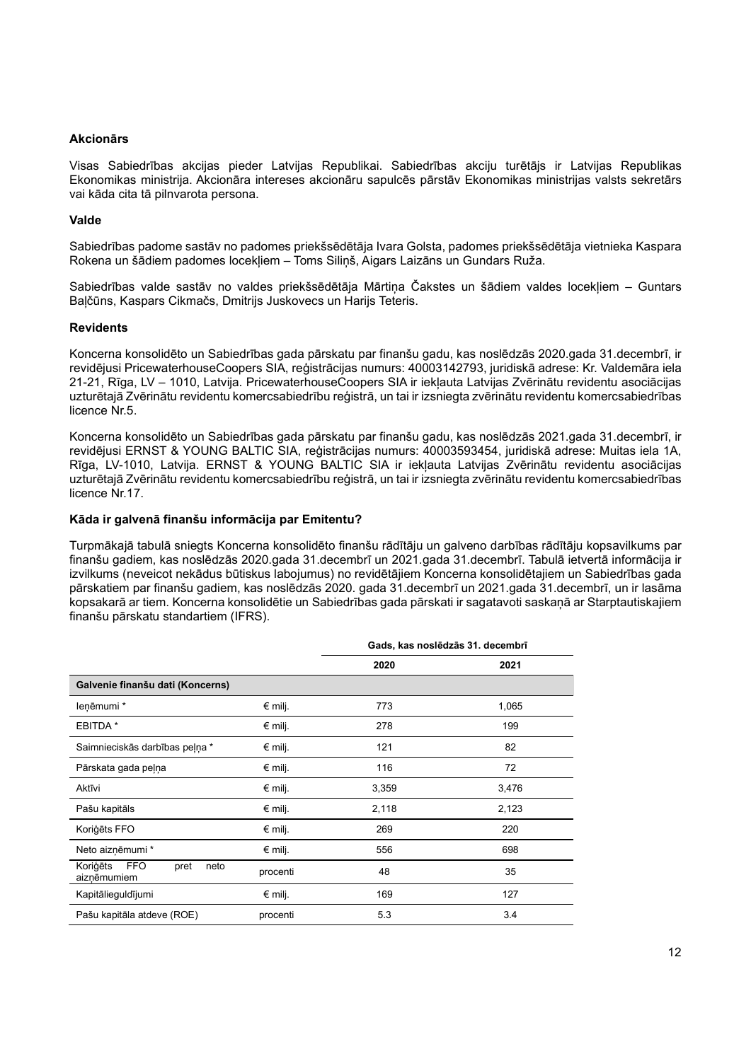## Akcionārs

Visas Sabiedrības akcijas pieder Latvijas Republikai. Sabiedrības akciju turētājs ir Latvijas Republikas Ekonomikas ministrija. Akcionāra intereses akcionāru sapulcēs pārstāv Ekonomikas ministrijas valsts sekretārs vai kāda cita tā pilnvarota persona.

## Valde

Sabiedrības padome sastāv no padomes priekšsēdētāja Ivara Golsta, padomes priekšsēdētāja vietnieka Kaspara Rokena un šādiem padomes locekļiem – Toms Siliņš, Aigars Laizāns un Gundars Ruža.

Sabiedrības valde sastāv no valdes priekšsēdētāja Mārtiņa Čakstes un šādiem valdes locekļiem – Guntars Baļčūns, Kaspars Cikmačs, Dmitrijs Juskovecs un Harijs Teteris.

#### Revidents

Koncerna konsolidēto un Sabiedrības gada pārskatu par finanšu gadu, kas noslēdzās 2020.gada 31.decembrī, ir revidējusi PricewaterhouseCoopers SIA, reģistrācijas numurs: 40003142793, juridiskā adrese: Kr. Valdemāra iela 21-21, Rīga, LV – 1010, Latvija. PricewaterhouseCoopers SIA ir iekļauta Latvijas Zvērinātu revidentu asociācijas uzturētajā Zvērinātu revidentu komercsabiedrību reģistrā, un tai ir izsniegta zvērinātu revidentu komercsabiedrības licence Nr.5.

Koncerna konsolidēto un Sabiedrības gada pārskatu par finanšu gadu, kas noslēdzās 2021.gada 31.decembrī, ir revidējusi ERNST & YOUNG BALTIC SIA, reģistrācijas numurs: 40003593454, juridiskā adrese: Muitas iela 1A, Rīga, LV-1010, Latvija. ERNST & YOUNG BALTIC SIA ir iekļauta Latvijas Zvērinātu revidentu asociācijas uzturētajā Zvērinātu revidentu komercsabiedrību reģistrā, un tai ir izsniegta zvērinātu revidentu komercsabiedrības licence Nr.17.

#### Kāda ir galvenā finanšu informācija par Emitentu?

Turpmākajā tabulā sniegts Koncerna konsolidēto finanšu rādītāju un galveno darbības rādītāju kopsavilkums par finanšu gadiem, kas noslēdzās 2020.gada 31.decembrī un 2021.gada 31.decembrī. Tabulā ietvertā informācija ir izvilkums (neveicot nekādus būtiskus labojumus) no revidētājiem Koncerna konsolidētajiem un Sabiedrības gada pārskatiem par finanšu gadiem, kas noslēdzās 2020. gada 31.decembrī un 2021.gada 31.decembrī, un ir lasāma kopsakarā ar tiem. Koncerna konsolidētie un Sabiedrības gada pārskati ir sagatavoti saskaņā ar Starptautiskajiem finanšu pārskatu standartiem (IFRS).

|                                                | Gads, kas noslēdzās 31. decembrī |       |       |
|------------------------------------------------|----------------------------------|-------|-------|
|                                                |                                  | 2020  | 2021  |
| Galvenie finanšu dati (Koncerns)               |                                  |       |       |
| leņēmumi*                                      | $€$ milj.                        | 773   | 1,065 |
| EBITDA *                                       | $€$ milj.                        | 278   | 199   |
| Saimnieciskās darbības peļņa *                 | $€$ milj.                        | 121   | 82    |
| Pārskata gada peļņa                            | $€$ milj.                        | 116   | 72    |
| Aktīvi                                         | $€$ milj.                        | 3,359 | 3,476 |
| Pašu kapitāls                                  | $€$ milj.                        | 2,118 | 2,123 |
| Koriģēts FFO                                   | $€$ milj.                        | 269   | 220   |
| Neto aizņēmumi *                               | $€$ milj.                        | 556   | 698   |
| Koriģēts<br>FFO<br>pret<br>neto<br>aiznēmumiem | procenti                         | 48    | 35    |
| Kapitālieguldījumi                             | $€$ milj.                        | 169   | 127   |
| Pašu kapitāla atdeve (ROE)                     | procenti                         | 5.3   | 3.4   |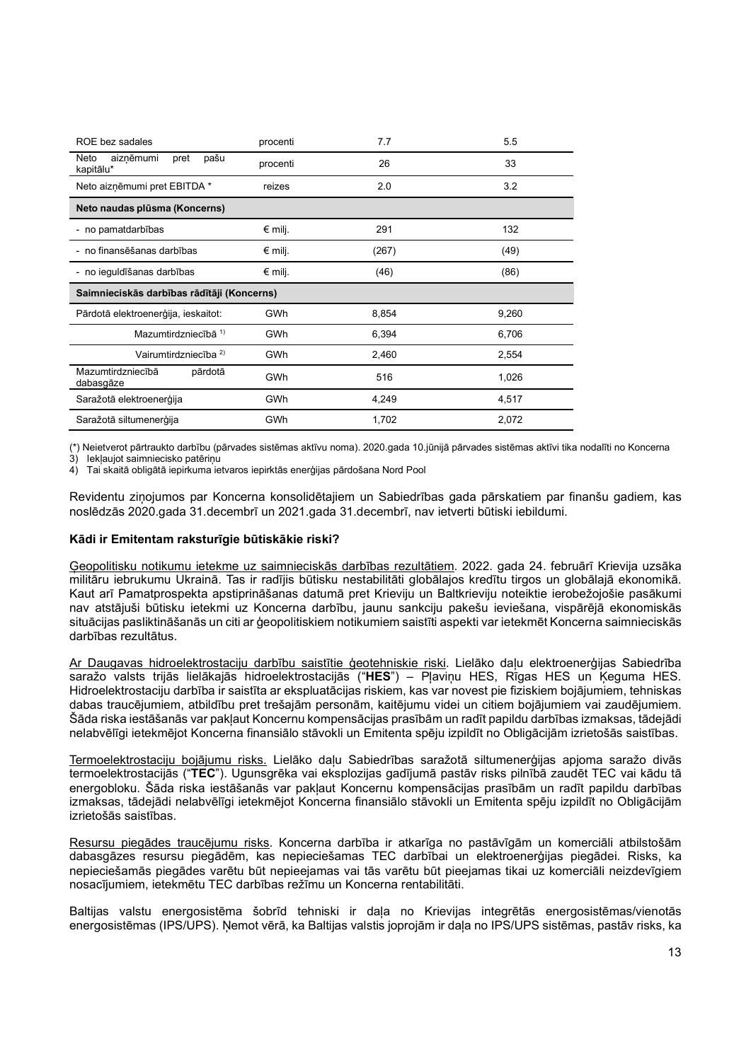| ROE bez sadales                                | procenti   | 7.7   | 5.5   |
|------------------------------------------------|------------|-------|-------|
| Neto<br>aizņēmumi<br>pašu<br>pret<br>kapitālu* | procenti   | 26    | 33    |
| Neto aizņēmumi pret EBITDA *                   | reizes     | 2.0   | 3.2   |
| Neto naudas plūsma (Koncerns)                  |            |       |       |
| - no pamatdarbības                             | $€$ milj.  | 291   | 132   |
| - no finansēšanas darbības                     | $€$ milj.  | (267) | (49)  |
| - no ieguldīšanas darbības                     | $€$ milj.  | (46)  | (86)  |
|                                                |            |       |       |
| Saimnieciskās darbības rādītāji (Koncerns)     |            |       |       |
| Pārdotā elektroenerģija, ieskaitot:            | <b>GWh</b> | 8,854 | 9,260 |
| Mazumtirdzniecībā 1)                           | <b>GWh</b> | 6,394 | 6,706 |
| Vairumtirdzniecība <sup>2)</sup>               | <b>GWh</b> | 2,460 | 2,554 |
| Mazumtirdzniecībā<br>pārdotā<br>dabasgāze      | <b>GWh</b> | 516   | 1,026 |
| Saražotā elektroenerģija                       | GWh        | 4,249 | 4,517 |

(\*) Neietverot pārtraukto darbību (pārvades sistēmas aktīvu noma). 2020.gada 10.jūnijā pārvades sistēmas aktīvi tika nodalīti no Koncerna

3) Iekļaujot saimniecisko patēriņu 4) Tai skaitā obligātā iepirkuma ietvaros iepirktās enerģijas pārdošana Nord Pool

Revidentu ziņojumos par Koncerna konsolidētajiem un Sabiedrības gada pārskatiem par finanšu gadiem, kas noslēdzās 2020.gada 31.decembrī un 2021.gada 31.decembrī, nav ietverti būtiski iebildumi.

## Kādi ir Emitentam raksturīgie būtiskākie riski?

Ģeopolitisku notikumu ietekme uz saimnieciskās darbības rezultātiem. 2022. gada 24. februārī Krievija uzsāka militāru iebrukumu Ukrainā. Tas ir radījis būtisku nestabilitāti globālajos kredītu tirgos un globālajā ekonomikā. Kaut arī Pamatprospekta apstiprināšanas datumā pret Krieviju un Baltkrieviju noteiktie ierobežojošie pasākumi nav atstājuši būtisku ietekmi uz Koncerna darbību, jaunu sankciju pakešu ieviešana, vispārējā ekonomiskās situācijas pasliktināšanās un citi ar ģeopolitiskiem notikumiem saistīti aspekti var ietekmēt Koncerna saimnieciskās darbības rezultātus.

Ar Daugavas hidroelektrostaciju darbību saistītie ģeotehniskie riski. Lielāko daļu elektroenerģijas Sabiedrība saražo valsts trijās lielākajās hidroelektrostacijās ("HES") – Pļaviņu HES, Rīgas HES un Ķeguma HES. Hidroelektrostaciju darbība ir saistīta ar ekspluatācijas riskiem, kas var novest pie fiziskiem bojājumiem, tehniskas dabas traucējumiem, atbildību pret trešajām personām, kaitējumu videi un citiem bojājumiem vai zaudējumiem. Šāda riska iestāšanās var pakļaut Koncernu kompensācijas prasībām un radīt papildu darbības izmaksas, tādejādi nelabvēlīgi ietekmējot Koncerna finansiālo stāvokli un Emitenta spēju izpildīt no Obligācijām izrietošās saistības.

Termoelektrostaciju bojājumu risks. Lielāko daļu Sabiedrības saražotā siltumenerģijas apjoma saražo divās termoelektrostacijās ("TEC"). Ugunsgrēka vai eksplozijas gadījumā pastāv risks pilnībā zaudēt TEC vai kādu tā energobloku. Šāda riska iestāšanās var pakļaut Koncernu kompensācijas prasībām un radīt papildu darbības izmaksas, tādejādi nelabvēlīgi ietekmējot Koncerna finansiālo stāvokli un Emitenta spēju izpildīt no Obligācijām izrietošās saistības.

Resursu piegādes traucējumu risks. Koncerna darbība ir atkarīga no pastāvīgām un komerciāli atbilstošām dabasgāzes resursu piegādēm, kas nepieciešamas TEC darbībai un elektroenerģijas piegādei. Risks, ka nepieciešamās piegādes varētu būt nepieejamas vai tās varētu būt pieejamas tikai uz komerciāli neizdevīgiem nosacījumiem, ietekmētu TEC darbības režīmu un Koncerna rentabilitāti.

Baltijas valstu energosistēma šobrīd tehniski ir daļa no Krievijas integrētās energosistēmas/vienotās energosistēmas (IPS/UPS). Ņemot vērā, ka Baltijas valstis joprojām ir daļa no IPS/UPS sistēmas, pastāv risks, ka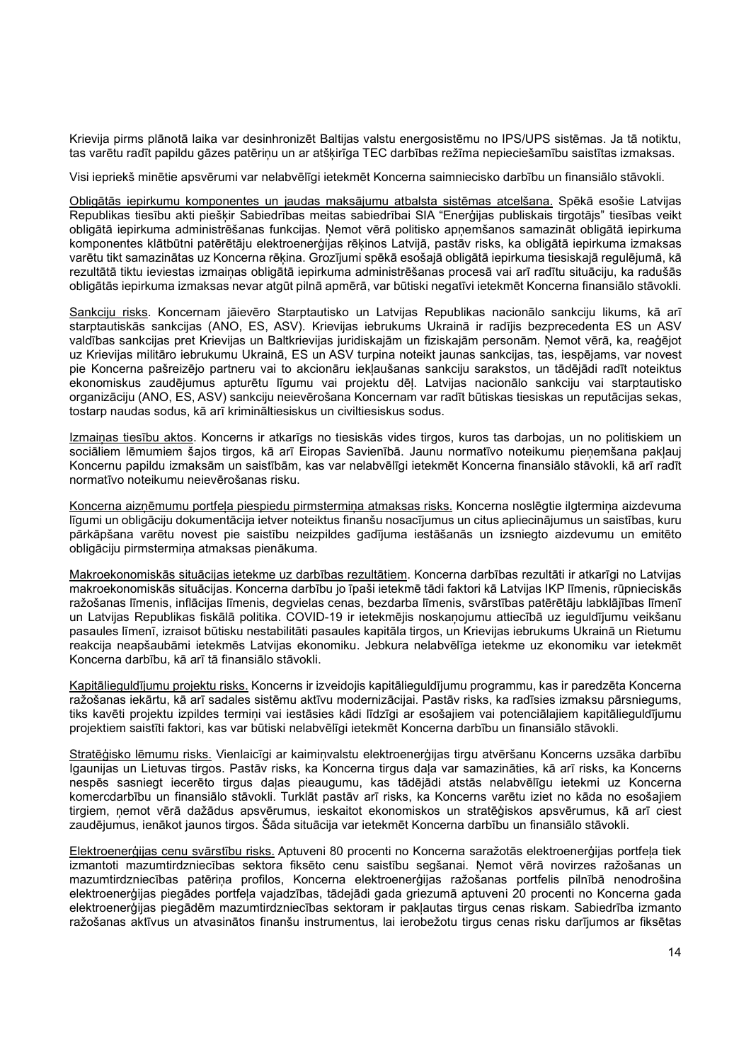Krievija pirms plānotā laika var desinhronizēt Baltijas valstu energosistēmu no IPS/UPS sistēmas. Ja tā notiktu, tas varētu radīt papildu gāzes patēriņu un ar atšķirīga TEC darbības režīma nepieciešamību saistītas izmaksas.

Visi iepriekš minētie apsvērumi var nelabvēlīgi ietekmēt Koncerna saimniecisko darbību un finansiālo stāvokli.

Obligātās iepirkumu komponentes un jaudas maksājumu atbalsta sistēmas atcelšana. Spēkā esošie Latvijas Republikas tiesību akti piešķir Sabiedrības meitas sabiedrībai SIA "Enerģijas publiskais tirgotājs" tiesības veikt obligātā iepirkuma administrēšanas funkcijas. Ņemot vērā politisko apņemšanos samazināt obligātā iepirkuma komponentes klātbūtni patērētāju elektroenerģijas rēķinos Latvijā, pastāv risks, ka obligātā iepirkuma izmaksas varētu tikt samazinātas uz Koncerna rēķina. Grozījumi spēkā esošajā obligātā iepirkuma tiesiskajā regulējumā, kā rezultātā tiktu ieviestas izmaiņas obligātā iepirkuma administrēšanas procesā vai arī radītu situāciju, ka radušās obligātās iepirkuma izmaksas nevar atgūt pilnā apmērā, var būtiski negatīvi ietekmēt Koncerna finansiālo stāvokli.

Sankciju risks. Koncernam jāievēro Starptautisko un Latvijas Republikas nacionālo sankciju likums, kā arī starptautiskās sankcijas (ANO, ES, ASV). Krievijas iebrukums Ukrainā ir radījis bezprecedenta ES un ASV valdības sankcijas pret Krievijas un Baltkrievijas juridiskajām un fiziskajām personām. Ņemot vērā, ka, reaģējot uz Krievijas militāro iebrukumu Ukrainā, ES un ASV turpina noteikt jaunas sankcijas, tas, iespējams, var novest pie Koncerna pašreizējo partneru vai to akcionāru iekļaušanas sankciju sarakstos, un tādējādi radīt noteiktus ekonomiskus zaudējumus apturētu līgumu vai projektu dēļ. Latvijas nacionālo sankciju vai starptautisko organizāciju (ANO, ES, ASV) sankciju neievērošana Koncernam var radīt būtiskas tiesiskas un reputācijas sekas, tostarp naudas sodus, kā arī krimināltiesiskus un civiltiesiskus sodus.

Izmaiņas tiesību aktos. Koncerns ir atkarīgs no tiesiskās vides tirgos, kuros tas darbojas, un no politiskiem un sociāliem lēmumiem šajos tirgos, kā arī Eiropas Savienībā. Jaunu normatīvo noteikumu pieņemšana pakļauj Koncernu papildu izmaksām un saistībām, kas var nelabvēlīgi ietekmēt Koncerna finansiālo stāvokli, kā arī radīt normatīvo noteikumu neievērošanas risku.

Koncerna aizņēmumu portfeļa piespiedu pirmstermiņa atmaksas risks. Koncerna noslēgtie ilgtermiņa aizdevuma līgumi un obligāciju dokumentācija ietver noteiktus finanšu nosacījumus un citus apliecinājumus un saistības, kuru pārkāpšana varētu novest pie saistību neizpildes gadījuma iestāšanās un izsniegto aizdevumu un emitēto obligāciju pirmstermiņa atmaksas pienākuma.

Makroekonomiskās situācijas ietekme uz darbības rezultātiem. Koncerna darbības rezultāti ir atkarīgi no Latvijas makroekonomiskās situācijas. Koncerna darbību jo īpaši ietekmē tādi faktori kā Latvijas IKP līmenis, rūpnieciskās ražošanas līmenis, inflācijas līmenis, degvielas cenas, bezdarba līmenis, svārstības patērētāju labklājības līmenī un Latvijas Republikas fiskālā politika. COVID-19 ir ietekmējis noskaņojumu attiecībā uz ieguldījumu veikšanu pasaules līmenī, izraisot būtisku nestabilitāti pasaules kapitāla tirgos, un Krievijas iebrukums Ukrainā un Rietumu reakcija neapšaubāmi ietekmēs Latvijas ekonomiku. Jebkura nelabvēlīga ietekme uz ekonomiku var ietekmēt Koncerna darbību, kā arī tā finansiālo stāvokli.

Kapitālieguldījumu projektu risks. Koncerns ir izveidojis kapitālieguldījumu programmu, kas ir paredzēta Koncerna ražošanas iekārtu, kā arī sadales sistēmu aktīvu modernizācijai. Pastāv risks, ka radīsies izmaksu pārsniegums, tiks kavēti projektu izpildes termini vai iestāsies kādi līdzīgi ar esošajiem vai potenciālajiem kapitālieguldījumu projektiem saistīti faktori, kas var būtiski nelabvēlīgi ietekmēt Koncerna darbību un finansiālo stāvokli.

Stratēģisko lēmumu risks. Vienlaicīgi ar kaimiņvalstu elektroenerģijas tirgu atvēršanu Koncerns uzsāka darbību Igaunijas un Lietuvas tirgos. Pastāv risks, ka Koncerna tirgus daļa var samazināties, kā arī risks, ka Koncerns nespēs sasniegt iecerēto tirgus daļas pieaugumu, kas tādējādi atstās nelabvēlīgu ietekmi uz Koncerna komercdarbību un finansiālo stāvokli. Turklāt pastāv arī risks, ka Koncerns varētu iziet no kāda no esošajiem tirgiem, ņemot vērā dažādus apsvērumus, ieskaitot ekonomiskos un stratēģiskos apsvērumus, kā arī ciest zaudējumus, ienākot jaunos tirgos. Šāda situācija var ietekmēt Koncerna darbību un finansiālo stāvokli.

Elektroenerģijas cenu svārstību risks. Aptuveni 80 procenti no Koncerna saražotās elektroenerģijas portfeļa tiek izmantoti mazumtirdzniecības sektora fiksēto cenu saistību segšanai. Ņemot vērā novirzes ražošanas un mazumtirdzniecības patēriņa profilos, Koncerna elektroenerģijas ražošanas portfelis pilnībā nenodrošina elektroenerģijas piegādes portfeļa vajadzības, tādejādi gada griezumā aptuveni 20 procenti no Koncerna gada elektroenerģijas piegādēm mazumtirdzniecības sektoram ir pakļautas tirgus cenas riskam. Sabiedrība izmanto ražošanas aktīvus un atvasinātos finanšu instrumentus, lai ierobežotu tirgus cenas risku darījumos ar fiksētas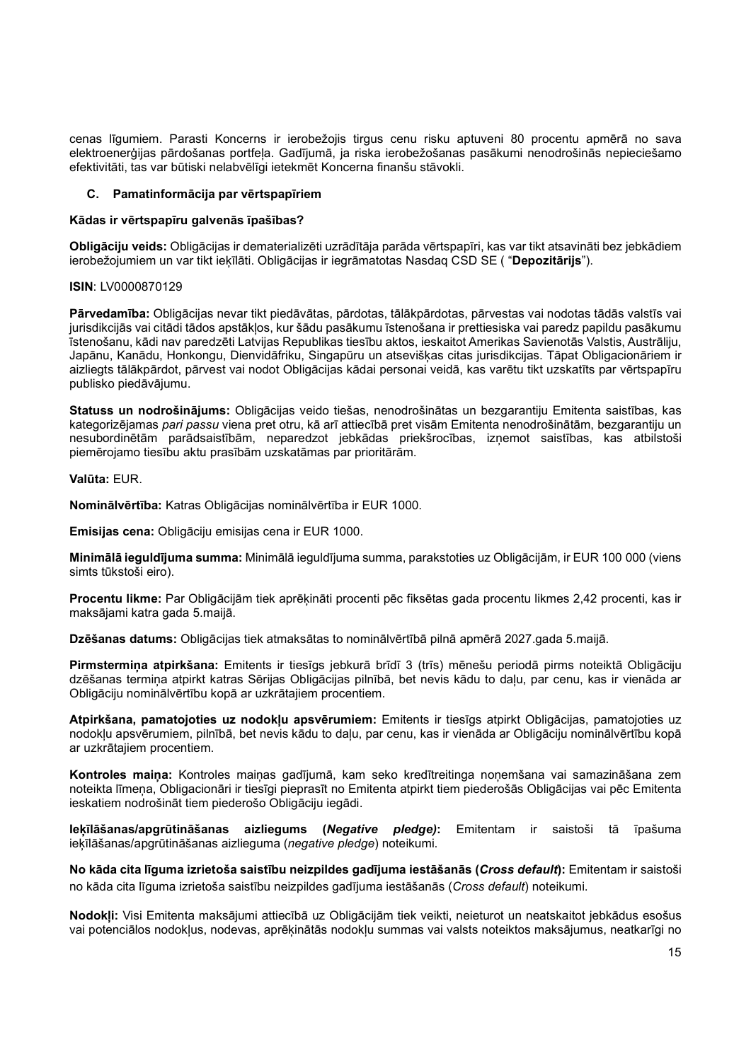cenas līgumiem. Parasti Koncerns ir ierobežojis tirgus cenu risku aptuveni 80 procentu apmērā no sava elektroenerģijas pārdošanas portfeļa. Gadījumā, ja riska ierobežošanas pasākumi nenodrošinās nepieciešamo efektivitāti, tas var būtiski nelabvēlīgi ietekmēt Koncerna finanšu stāvokli.

## Pamatinformācija par vērtspapīriem

#### Kādas ir vērtspapīru galvenās īpašības?

Obligāciju veids: Obligācijas ir dematerializēti uzrādītāja parāda vērtspapīri, kas var tikt atsavināti bez jebkādiem ierobežojumiem un var tikt iekīlāti. Obligācijas ir iegrāmatotas Nasdaq CSD SE ( "Depozitārijs").

## ISIN: LV0000870129

Pārvedamība: Obligācijas nevar tikt piedāvātas, pārdotas, tālākpārdotas, pārvestas vai nodotas tādās valstīs vai jurisdikcijās vai citādi tādos apstākļos, kur šādu pasākumu īstenošana ir prettiesiska vai paredz papildu pasākumu īstenošanu, kādi nav paredzēti Latvijas Republikas tiesību aktos, ieskaitot Amerikas Savienotās Valstis, Austrāliju, Japānu, Kanādu, Honkongu, Dienvidāfriku, Singapūru un atsevišķas citas jurisdikcijas. Tāpat Obligacionāriem ir aizliegts tālākpārdot, pārvest vai nodot Obligācijas kādai personai veidā, kas varētu tikt uzskatīts par vērtspapīru publisko piedāvājumu.

Statuss un nodrošinājums: Obligācijas veido tiešas, nenodrošinātas un bezgarantiju Emitenta saistības, kas kategorizējamas pari passu viena pret otru, kā arī attiecībā pret visām Emitenta nenodrošinātām, bezgarantiju un nesubordinētām parādsaistībām, neparedzot jebkādas priekšrocības, izņemot saistības, kas atbilstoši piemērojamo tiesību aktu prasībām uzskatāmas par prioritārām.

Valūta: EUR.

Nominālvērtība: Katras Obligācijas nominālvērtība ir EUR 1000.

Emisijas cena: Obligāciju emisijas cena ir EUR 1000.

Minimālā ieguldījuma summa: Minimālā ieguldījuma summa, parakstoties uz Obligācijām, ir EUR 100 000 (viens simts tūkstoši eiro).

Procentu likme: Par Obligācijām tiek aprēķināti procenti pēc fiksētas gada procentu likmes 2,42 procenti, kas ir maksājami katra gada 5.maijā.

Dzēšanas datums: Obligācijas tiek atmaksātas to nominālvērtībā pilnā apmērā 2027.gada 5.maijā.

Pirmstermina atpirkšana: Emitents ir tiesīgs jebkurā brīdī 3 (trīs) mēnešu periodā pirms noteiktā Obligāciju dzēšanas termiņa atpirkt katras Sērijas Obligācijas pilnībā, bet nevis kādu to daļu, par cenu, kas ir vienāda ar Obligāciju nominālvērtību kopā ar uzkrātajiem procentiem.

Atpirkšana, pamatojoties uz nodokļu apsvērumiem: Emitents ir tiesīgs atpirkt Obligācijas, pamatojoties uz nodokļu apsvērumiem, pilnībā, bet nevis kādu to daļu, par cenu, kas ir vienāda ar Obligāciju nominālvērtību kopā ar uzkrātajiem procentiem.

Kontroles maiņa: Kontroles maiņas gadījumā, kam seko kredītreitinga noņemšana vai samazināšana zem noteikta līmeņa, Obligacionāri ir tiesīgi pieprasīt no Emitenta atpirkt tiem piederošās Obligācijas vai pēc Emitenta ieskatiem nodrošināt tiem piederošo Obligāciju iegādi.

Ieķīlāšanas/apgrūtināšanas aizliegums (Negative pledge): Emitentam ir saistoši tā īpašuma ieķīlāšanas/apgrūtināšanas aizlieguma (negative pledge) noteikumi.

No kāda cita līguma izrietoša saistību neizpildes gadījuma iestāšanās (Cross default): Emitentam ir saistoši no kāda cita līguma izrietoša saistību neizpildes gadījuma iestāšanās (Cross default) noteikumi.

Nodokļi: Visi Emitenta maksājumi attiecībā uz Obligācijām tiek veikti, neieturot un neatskaitot jebkādus esošus vai potenciālos nodokļus, nodevas, aprēķinātās nodokļu summas vai valsts noteiktos maksājumus, neatkarīgi no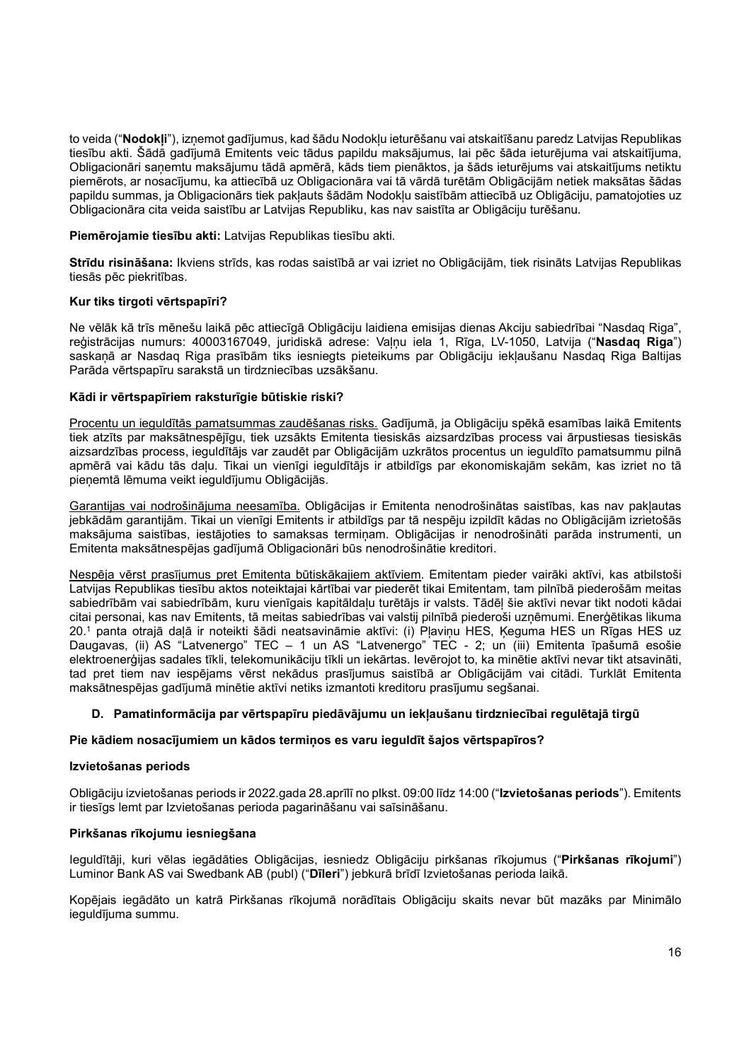to veida ("Nodokļi"), izņemot gadījumus, kad šādu Nodokļu ieturēšanu vai atskaitīšanu paredz Latvijas Republikas tiesību akti. Šādā gadījumā Emitents veic tādus papildu maksājumus, lai pēc šāda ieturējuma vai atskaitījuma, Obligacionāri saņemtu maksājumu tādā apmērā, kāds tiem pienāktos, ja šāds ieturējums vai atskaitījums netiktu piemērots, ar nosacījumu, ka attiecībā uz Obligacionāra vai tā vārdā turētām Obligācijām netiek maksātas šādas papildu summas, ja Obligacionārs tiek pakļauts šādām Nodokļu saistībām attiecībā uz Obligāciju, pamatojoties uz Obligacionāra cita veida saistību ar Latvijas Republiku, kas nav saistīta ar Obligāciju turēšanu.

## Piemērojamie tiesību akti: Latvijas Republikas tiesību akti.

Strīdu risināšana: Ikviens strīds, kas rodas saistībā ar vai izriet no Obligācijām, tiek risināts Latvijas Republikas tiesās pēc piekritības.

## Kur tiks tirgoti vērtspapīri?

Ne vēlāk kā trīs mēnešu laikā pēc attiecīgā Obligāciju laidiena emisijas dienas Akciju sabiedrībai "Nasdaq Riga", reģistrācijas numurs: 40003167049, juridiskā adrese: Valnu iela 1, Rīga, LV-1050, Latvija ("Nasdaq Riga") saskaņā ar Nasdaq Riga prasībām tiks iesniegts pieteikums par Obligāciju iekļaušanu Nasdaq Riga Baltijas Parāda vērtspapīru sarakstā un tirdzniecības uzsākšanu.

## Kādi ir vērtspapīriem raksturīgie būtiskie riski?

Procentu un ieguldītās pamatsummas zaudēšanas risks. Gadījumā, ja Obligāciju spēkā esamības laikā Emitents tiek atzīts par maksātnespējīgu, tiek uzsākts Emitenta tiesiskās aizsardzības process vai ārpustiesas tiesiskās aizsardzības process, ieguldītājs var zaudēt par Obligācijām uzkrātos procentus un ieguldīto pamatsummu pilnā apmērā vai kādu tās daļu. Tikai un vienīgi ieguldītājs ir atbildīgs par ekonomiskajām sekām, kas izriet no tā pienemtā lēmuma veikt ieguldījumu Obligācijās.

Garantijas vai nodrošinājuma neesamība. Obligācijas ir Emitenta nenodrošinātas saistības, kas nav pakļautas jebkādām garantijām. Tikai un vienīgi Emitents ir atbildīgs par tā nespēju izpildīt kādas no Obligācijām izrietošās maksājuma saistības, iestājoties to samaksas termiņam. Obligācijas ir nenodrošināti parāda instrumenti, un Emitenta maksātnespējas gadījumā Obligacionāri būs nenodrošinātie kreditori.

Nespēja vērst prasījumus pret Emitenta būtiskākajiem aktīviem. Emitentam pieder vairāki aktīvi, kas atbilstoši Latvijas Republikas tiesību aktos noteiktajai kārtībai var piederēt tikai Emitentam, tam pilnībā piederošām meitas sabiedrībām vai sabiedrībām, kuru vienīgais kapitāldaļu turētājs ir valsts. Tādēļ šie aktīvi nevar tikt nodoti kādai citai personai, kas nav Emitents, tā meitas sabiedrības vai valstij pilnībā piederoši uzņēmumi. Enerģētikas likuma 20.<sup>1</sup> panta otrajā daļā ir noteikti šādi neatsavināmie aktīvi: (i) Pļaviņu HES, Ķeguma HES un Rīgas HES uz Daugavas, (ii) AS "Latvenergo" TEC – 1 un AS "Latvenergo" TEC - 2; un (iii) Emitenta īpašumā esošie elektroenerģijas sadales tīkli, telekomunikāciju tīkli un iekārtas. Ievērojot to, ka minētie aktīvi nevar tikt atsavināti, tad pret tiem nav iespējams vērst nekādus prasījumus saistībā ar Obligācijām vai citādi. Turklāt Emitenta maksātnespējas gadījumā minētie aktīvi netiks izmantoti kreditoru prasījumu segšanai.

# D. Pamatinformācija par vērtspapīru piedāvājumu un iekļaušanu tirdzniecībai regulētajā tirgū

## Pie kādiem nosacījumiem un kādos termiņos es varu ieguldīt šajos vērtspapīros?

## Izvietošanas periods

Obligāciju izvietošanas periods ir 2022.gada 28.aprīlī no plkst. 09:00 līdz 14:00 ("Izvietošanas periods"). Emitents ir tiesīgs lemt par Izvietošanas perioda pagarināšanu vai saīsināšanu.

## Pirkšanas rīkojumu iesniegšana

Ieguldītāji, kuri vēlas iegādāties Obligācijas, iesniedz Obligāciju pirkšanas rīkojumus ("Pirkšanas rīkojumi") Luminor Bank AS vai Swedbank AB (publ) ("Dīleri") jebkurā brīdī Izvietošanas perioda laikā.

Kopējais iegādāto un katrā Pirkšanas rīkojumā norādītais Obligāciju skaits nevar būt mazāks par Minimālo ieguldījuma summu.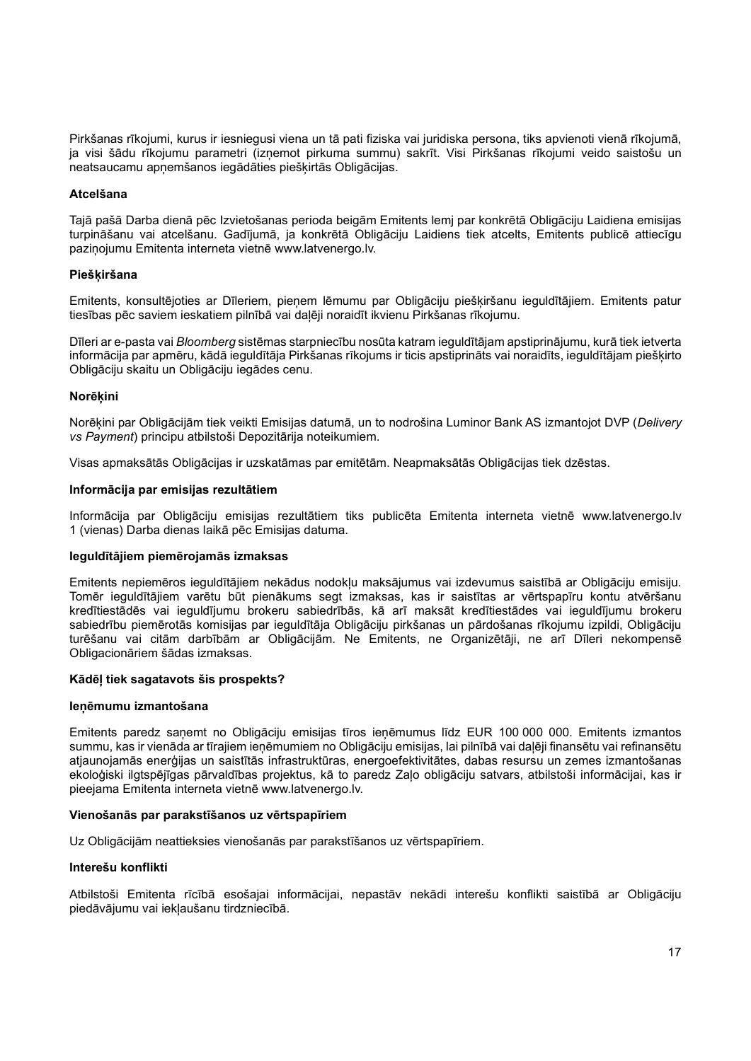Pirkšanas rīkojumi, kurus ir iesniegusi viena un tā pati fiziska vai juridiska persona, tiks apvienoti vienā rīkojumā, ja visi šādu rīkojumu parametri (izņemot pirkuma summu) sakrīt. Visi Pirkšanas rīkojumi veido saistošu un neatsaucamu apņemšanos iegādāties piešķirtās Obligācijas.

## Atcelšana

Tajā pašā Darba dienā pēc Izvietošanas perioda beigām Emitents lemj par konkrētā Obligāciju Laidiena emisijas turpināšanu vai atcelšanu. Gadījumā, ja konkrētā Obligāciju Laidiens tiek atcelts, Emitents publicē attiecīgu paziņojumu Emitenta interneta vietnē www.latvenergo.lv.

#### **Pieškiršana**

Emitents, konsultējoties ar Dīleriem, pieņem lēmumu par Obligāciju piešķiršanu ieguldītājiem. Emitents patur tiesības pēc saviem ieskatiem pilnībā vai daļēji noraidīt ikvienu Pirkšanas rīkojumu.

Dīleri ar e-pasta vai Bloomberg sistēmas starpniecību nosūta katram ieguldītājam apstiprinājumu, kurā tiek ietverta informācija par apmēru, kādā ieguldītāja Pirkšanas rīkojums ir ticis apstiprināts vai noraidīts, ieguldītājam piešķirto Obligāciju skaitu un Obligāciju iegādes cenu.

#### **Norēkini**

Norēkini par Obligācijām tiek veikti Emisijas datumā, un to nodrošina Luminor Bank AS izmantojot DVP (Delivery vs Payment) principu atbilstoši Depozitārija noteikumiem.

Visas apmaksātās Obligācijas ir uzskatāmas par emitētām. Neapmaksātās Obligācijas tiek dzēstas.

#### Informācija par emisijas rezultātiem

Informācija par Obligāciju emisijas rezultātiem tiks publicēta Emitenta interneta vietnē www.latvenergo.lv 1 (vienas) Darba dienas laikā pēc Emisijas datuma.

#### Ieguldītājiem piemērojamās izmaksas

Emitents nepiemēros ieguldītājiem nekādus nodokļu maksājumus vai izdevumus saistībā ar Obligāciju emisiju. Tomēr ieguldītājiem varētu būt pienākums segt izmaksas, kas ir saistītas ar vērtspapīru kontu atvēršanu kredītiestādēs vai ieguldījumu brokeru sabiedrībās, kā arī maksāt kredītiestādes vai ieguldījumu brokeru sabiedrību piemērotās komisijas par ieguldītāja Obligāciju pirkšanas un pārdošanas rīkojumu izpildi, Obligāciju turēšanu vai citām darbībām ar Obligācijām. Ne Emitents, ne Organizētāji, ne arī Dīleri nekompensē Obligacionāriem šādas izmaksas.

## Kādēļ tiek sagatavots šis prospekts?

#### Ieņēmumu izmantošana

Emitents paredz saņemt no Obligāciju emisijas tīros ieņēmumus līdz EUR 100 000 000. Emitents izmantos summu, kas ir vienāda ar tīrajiem ieņēmumiem no Obligāciju emisijas, lai pilnībā vai daļēji finansētu vai refinansētu atjaunojamās enerģijas un saistītās infrastruktūras, energoefektivitātes, dabas resursu un zemes izmantošanas ekoloģiski ilgtspējīgas pārvaldības projektus, kā to paredz Zaļo obligāciju satvars, atbilstoši informācijai, kas ir pieejama Emitenta interneta vietnē www.latvenergo.lv.

## Vienošanās par parakstīšanos uz vērtspapīriem

Uz Obligācijām neattieksies vienošanās par parakstīšanos uz vērtspapīriem.

#### Interešu konflikti

Atbilstoši Emitenta rīcībā esošajai informācijai, nepastāv nekādi interešu konflikti saistībā ar Obligāciju piedāvājumu vai iekļaušanu tirdzniecībā.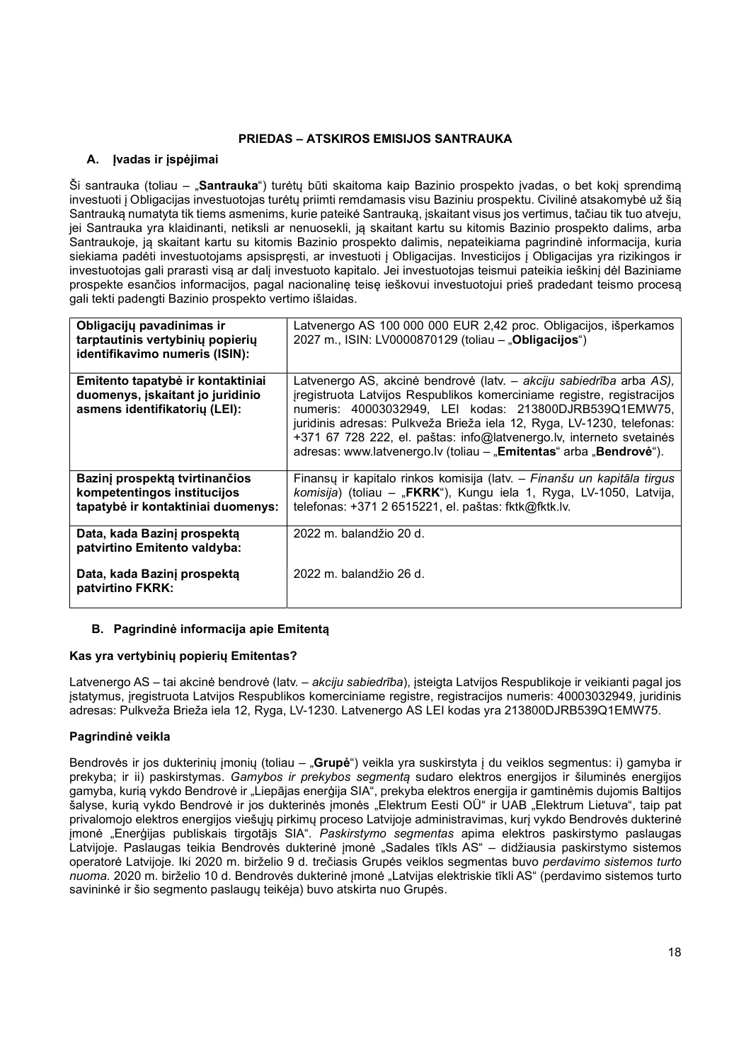# PRIEDAS – ATSKIROS EMISIJOS SANTRAUKA

# A. Ivadas ir įspėjimai

Ši santrauka (toliau – "Santrauka") turėtų būti skaitoma kaip Bazinio prospekto įvadas, o bet kokį sprendimą investuoti į Obligacijas investuotojas turėtų priimti remdamasis visu Baziniu prospektu. Civilinė atsakomybė už šią Santrauką numatyta tik tiems asmenims, kurie pateikė Santrauką, įskaitant visus jos vertimus, tačiau tik tuo atveju, jei Santrauka yra klaidinanti, netiksli ar nenuosekli, ją skaitant kartu su kitomis Bazinio prospekto dalims, arba Santraukoje, ją skaitant kartu su kitomis Bazinio prospekto dalimis, nepateikiama pagrindinė informacija, kuria siekiama padėti investuotojams apsispręsti, ar investuoti į Obligacijas. Investicijos į Obligacijas yra rizikingos ir investuotojas gali prarasti visą ar dalį investuoto kapitalo. Jei investuotojas teismui pateikia ieškinį dėl Baziniame prospekte esančios informacijos, pagal nacionalinę teisę ieškovui investuotojui prieš pradedant teismo procesą gali tekti padengti Bazinio prospekto vertimo išlaidas.

| Latvenergo AS 100 000 000 EUR 2,42 proc. Obligacijos, išperkamos<br>2027 m., ISIN: LV0000870129 (toliau - "Obligacijos")                                                                                                                                                                                                                                                                                                       |
|--------------------------------------------------------------------------------------------------------------------------------------------------------------------------------------------------------------------------------------------------------------------------------------------------------------------------------------------------------------------------------------------------------------------------------|
| Latvenergo AS, akcinė bendrovė (latv. – akciju sabiedrība arba AS),<br>iregistruota Latvijos Respublikos komerciniame registre, registracijos<br>numeris: 40003032949, LEI kodas: 213800DJRB539Q1EMW75,<br>juridinis adresas: Pulkveža Brieža iela 12, Ryga, LV-1230, telefonas:<br>+371 67 728 222, el. paštas: info@latvenergo.lv, interneto svetainės<br>adresas: www.latvenergo.lv (toliau - "Emitentas" arba "Bendrovė"). |
| Finansų ir kapitalo rinkos komisija (latv. - Finanšu un kapitāla tirgus<br>komisija) (toliau – "FKRK"), Kungu iela 1, Ryga, LV-1050, Latvija,<br>telefonas: +371 2 6515221, el. paštas: fktk@fktk.lv.                                                                                                                                                                                                                          |
| $2022$ m. balandžio $20$ d.<br>2022 m. balandžio 26 d.                                                                                                                                                                                                                                                                                                                                                                         |
|                                                                                                                                                                                                                                                                                                                                                                                                                                |

# B. Pagrindinė informacija apie Emitentą

# Kas yra vertybinių popierių Emitentas?

Latvenergo AS – tai akcinė bendrovė (latv. – akciju sabiedrība), įsteigta Latvijos Respublikoje ir veikianti pagal jos įstatymus, įregistruota Latvijos Respublikos komerciniame registre, registracijos numeris: 40003032949, juridinis adresas: Pulkveža Brieža iela 12, Ryga, LV-1230. Latvenergo AS LEI kodas yra 213800DJRB539Q1EMW75.

# Pagrindinė veikla

Bendrovės ir jos dukterinių įmonių (toliau – "Grupė") veikla yra suskirstyta į du veiklos segmentus: i) gamyba ir prekyba; ir ii) paskirstymas. Gamybos ir prekybos segmentą sudaro elektros energijos ir šiluminės energijos gamyba, kurią vykdo Bendrovė ir "Liepājas enerģija SIA", prekyba elektros energija ir gamtinėmis dujomis Baltijos šalyse, kurią vykdo Bendrovė ir jos dukterinės įmonės "Elektrum Eesti OÜ" ir UAB "Elektrum Lietuva", taip pat privalomojo elektros energijos viešųjų pirkimų proceso Latvijoje administravimas, kurį vykdo Bendrovės dukterinė įmonė "Enerģijas publiskais tirgotājs SIA". Paskirstymo segmentas apima elektros paskirstymo paslaugas Latvijoje. Paslaugas teikia Bendrovės dukterinė įmonė "Sadales tīkls AS" – didžiausia paskirstymo sistemos operatorė Latvijoje. Iki 2020 m. birželio 9 d. trečiasis Grupės veiklos segmentas buvo perdavimo sistemos turto nuoma. 2020 m. birželio 10 d. Bendrovės dukterinė įmonė "Latvijas elektriskie tīkli AS" (perdavimo sistemos turto savininkė ir šio segmento paslaugų teikėja) buvo atskirta nuo Grupės.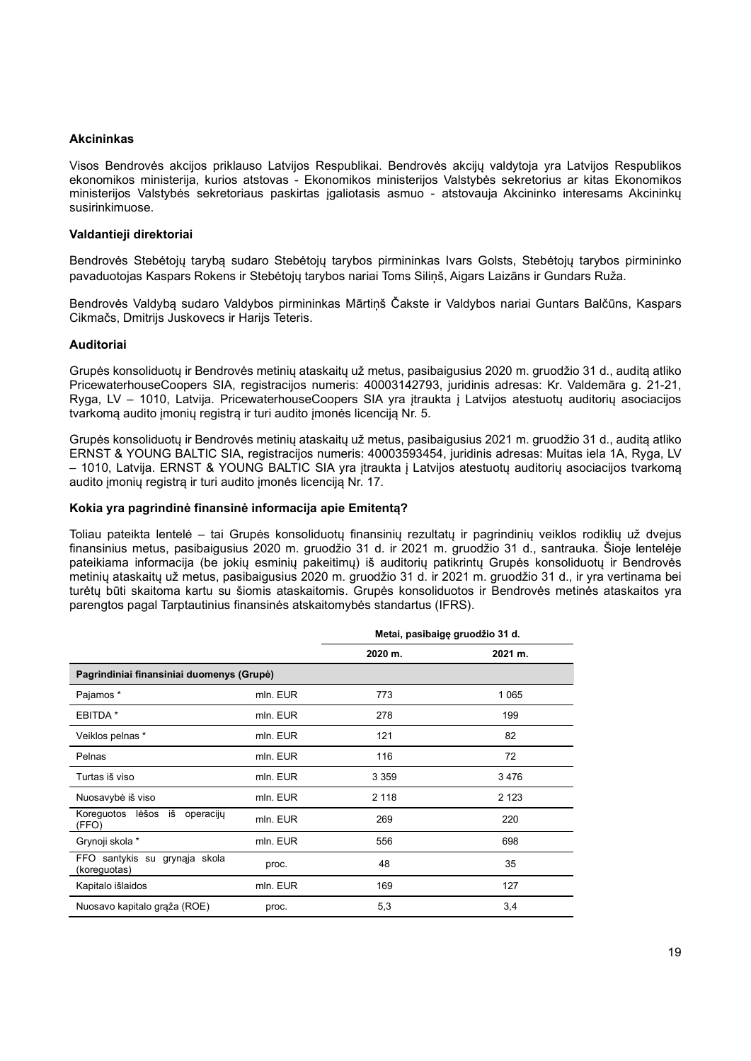#### Akcininkas

Visos Bendrovės akcijos priklauso Latvijos Respublikai. Bendrovės akcijų valdytoja yra Latvijos Respublikos ekonomikos ministerija, kurios atstovas - Ekonomikos ministerijos Valstybės sekretorius ar kitas Ekonomikos ministerijos Valstybės sekretoriaus paskirtas įgaliotasis asmuo - atstovauja Akcininko interesams Akcininkų susirinkimuose.

#### Valdantieji direktoriai

Bendrovės Stebėtojų tarybą sudaro Stebėtojų tarybos pirmininkas Ivars Golsts, Stebėtojų tarybos pirmininko pavaduotojas Kaspars Rokens ir Stebėtojų tarybos nariai Toms Siliņš, Aigars Laizāns ir Gundars Ruža.

Bendrovės Valdybą sudaro Valdybos pirmininkas Mārtiņš Čakste ir Valdybos nariai Guntars Balčūns, Kaspars Cikmačs, Dmitrijs Juskovecs ir Harijs Teteris.

#### Auditoriai

Grupės konsoliduotų ir Bendrovės metinių ataskaitų už metus, pasibaigusius 2020 m. gruodžio 31 d., auditą atliko PricewaterhouseCoopers SIA, registracijos numeris: 40003142793, juridinis adresas: Kr. Valdemāra g. 21-21, Ryga, LV – 1010, Latvija. PricewaterhouseCoopers SIA yra įtraukta į Latvijos atestuotų auditorių asociacijos tvarkomą audito įmonių registrą ir turi audito įmonės licenciją Nr. 5.

Grupės konsoliduotų ir Bendrovės metinių ataskaitų už metus, pasibaigusius 2021 m. gruodžio 31 d., auditą atliko ERNST & YOUNG BALTIC SIA, registracijos numeris: 40003593454, juridinis adresas: Muitas iela 1A, Ryga, LV – 1010, Latvija. ERNST & YOUNG BALTIC SIA yra įtraukta į Latvijos atestuotų auditorių asociacijos tvarkomą audito įmonių registrą ir turi audito įmonės licenciją Nr. 17.

#### Kokia yra pagrindinė finansinė informacija apie Emitentą?

Toliau pateikta lentelė – tai Grupės konsoliduotų finansinių rezultatų ir pagrindinių veiklos rodiklių už dvejus finansinius metus, pasibaigusius 2020 m. gruodžio 31 d. ir 2021 m. gruodžio 31 d., santrauka. Šioje lentelėje pateikiama informacija (be jokių esminių pakeitimų) iš auditorių patikrintų Grupės konsoliduotų ir Bendrovės metinių ataskaitų už metus, pasibaigusius 2020 m. gruodžio 31 d. ir 2021 m. gruodžio 31 d., ir yra vertinama bei turėtų būti skaitoma kartu su šiomis ataskaitomis. Grupės konsoliduotos ir Bendrovės metinės ataskaitos yra parengtos pagal Tarptautinius finansinės atskaitomybės standartus (IFRS).

|                                               |          | Metai, pasibaigę gruodžio 31 d. |         |
|-----------------------------------------------|----------|---------------------------------|---------|
|                                               |          | 2020 m.                         | 2021 m. |
| Pagrindiniai finansiniai duomenys (Grupė)     |          |                                 |         |
| Pajamos *                                     | mln. EUR | 773                             | 1 0 6 5 |
| EBITDA *                                      | mln. EUR | 278                             | 199     |
| Veiklos pelnas *                              | mln. EUR | 121                             | 82      |
| Pelnas                                        | mln. EUR | 116                             | 72      |
| Turtas iš viso                                | mln. EUR | 3 3 5 9                         | 3476    |
| Nuosavybė iš viso                             | mln. EUR | 2 1 1 8                         | 2 1 2 3 |
| Koreguotos lėšos iš<br>operaciju<br>(FFO)     | mln. EUR | 269                             | 220     |
| Grynoji skola *                               | mln. EUR | 556                             | 698     |
| FFO santykis su grynąja skola<br>(koreguotas) | proc.    | 48                              | 35      |
| Kapitalo išlaidos                             | mln. EUR | 169                             | 127     |
| Nuosavo kapitalo grąža (ROE)                  | proc.    | 5,3                             | 3,4     |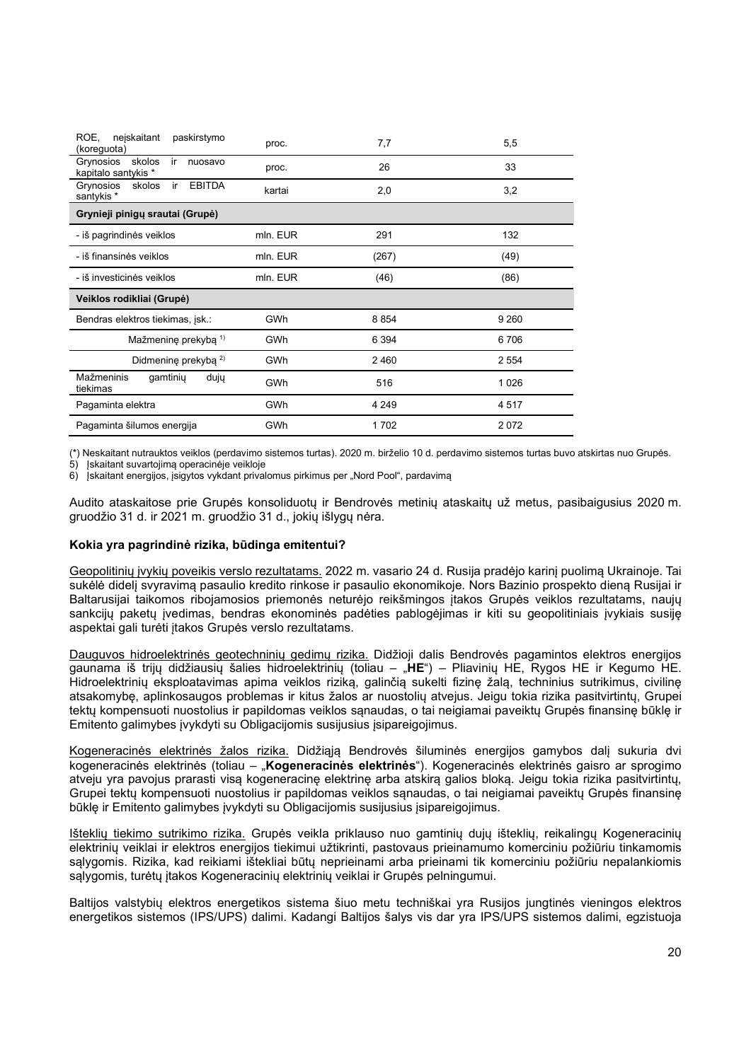| ROE.<br>nejskaitant<br>paskirstymo<br>(koreguota)           | proc.      | 7,7     | 5,5     |
|-------------------------------------------------------------|------------|---------|---------|
| skolos<br>Grynosios<br>ir<br>nuosavo<br>kapitalo santykis * | proc.      | 26      | 33      |
| <b>EBITDA</b><br>Grynosios<br>skolos<br>-ir<br>santykis *   | kartai     | 2,0     | 3,2     |
| Grynieji pinigų srautai (Grupė)                             |            |         |         |
| - iš pagrindinės veiklos                                    | mln. EUR   | 291     | 132     |
| - iš finansinės veiklos                                     | mln. EUR   | (267)   | (49)    |
| - iš investicinės veiklos                                   | mln. EUR   | (46)    | (86)    |
| Veiklos rodikliai (Grupė)                                   |            |         |         |
| Bendras elektros tiekimas, jsk.:                            | <b>GWh</b> | 8854    | 9 2 6 0 |
| Mažmeninę prekybą 1)                                        | <b>GWh</b> | 6 3 9 4 | 6706    |
| Didmenine prekyba <sup>2)</sup>                             | GWh        | 2460    | 2 554   |
| Mažmeninis<br>gamtinių<br>dujų<br>tiekimas                  | <b>GWh</b> | 516     | 1 0 2 6 |
| Pagaminta elektra                                           | <b>GWh</b> | 4 2 4 9 | 4517    |
| Pagaminta šilumos energija                                  | GWh        | 1702    | 2072    |

(\*) Neskaitant nutrauktos veiklos (perdavimo sistemos turtas). 2020 m. birželio 10 d. perdavimo sistemos turtas buvo atskirtas nuo Grupės.

5) Įskaitant suvartojimą operacinėje veikloje

6) įskaitant energijos, įsigytos vykdant privalomus pirkimus per "Nord Pool", pardavima

Audito ataskaitose prie Grupės konsoliduotų ir Bendrovės metinių ataskaitų už metus, pasibaigusius 2020 m. gruodžio 31 d. ir 2021 m. gruodžio 31 d., jokių išlygų nėra.

## Kokia yra pagrindinė rizika, būdinga emitentui?

Geopolitinių įvykių poveikis verslo rezultatams. 2022 m. vasario 24 d. Rusija pradėjo karinį puolimą Ukrainoje. Tai sukėlė didelį svyravimą pasaulio kredito rinkose ir pasaulio ekonomikoje. Nors Bazinio prospekto dieną Rusijai ir Baltarusijai taikomos ribojamosios priemonės neturėjo reikšmingos įtakos Grupės veiklos rezultatams, naujų sankcijų paketų įvedimas, bendras ekonominės padėties pablogėjimas ir kiti su geopolitiniais įvykiais susiję aspektai gali turėti įtakos Grupės verslo rezultatams.

Dauguvos hidroelektrinės geotechninių gedimų rizika. Didžioji dalis Bendrovės pagamintos elektros energijos gaunama iš trijų didžiausių šalies hidroelektrinių (toliau – "HE") – Pliavinių HE, Rygos HE ir Kegumo HE. Hidroelektrinių eksploatavimas apima veiklos riziką, galinčią sukelti fizinę žalą, techninius sutrikimus, civilinę atsakomybę, aplinkosaugos problemas ir kitus žalos ar nuostolių atvejus. Jeigu tokia rizika pasitvirtintų, Grupei tektų kompensuoti nuostolius ir papildomas veiklos sąnaudas, o tai neigiamai paveiktų Grupės finansinę būklę ir Emitento galimybes įvykdyti su Obligacijomis susijusius įsipareigojimus.

Kogeneracinės elektrinės žalos rizika. Didžiąją Bendrovės šiluminės energijos gamybos dalį sukuria dvi kogeneracinės elektrinės (toliau – "Kogeneracinės elektrinės"). Kogeneracinės elektrinės gaisro ar sprogimo atveju yra pavojus prarasti visą kogeneracinę elektrinę arba atskirą galios bloką. Jeigu tokia rizika pasitvirtintų, Grupei tektų kompensuoti nuostolius ir papildomas veiklos sąnaudas, o tai neigiamai paveiktų Grupės finansinę būklę ir Emitento galimybes įvykdyti su Obligacijomis susijusius įsipareigojimus.

Išteklių tiekimo sutrikimo rizika. Grupės veikla priklauso nuo gamtinių dujų išteklių, reikalingų Kogeneracinių elektrinių veiklai ir elektros energijos tiekimui užtikrinti, pastovaus prieinamumo komerciniu požiūriu tinkamomis sąlygomis. Rizika, kad reikiami ištekliai būtų neprieinami arba prieinami tik komerciniu požiūriu nepalankiomis sąlygomis, turėtų įtakos Kogeneracinių elektrinių veiklai ir Grupės pelningumui.

Baltijos valstybių elektros energetikos sistema šiuo metu techniškai yra Rusijos jungtinės vieningos elektros energetikos sistemos (IPS/UPS) dalimi. Kadangi Baltijos šalys vis dar yra IPS/UPS sistemos dalimi, egzistuoja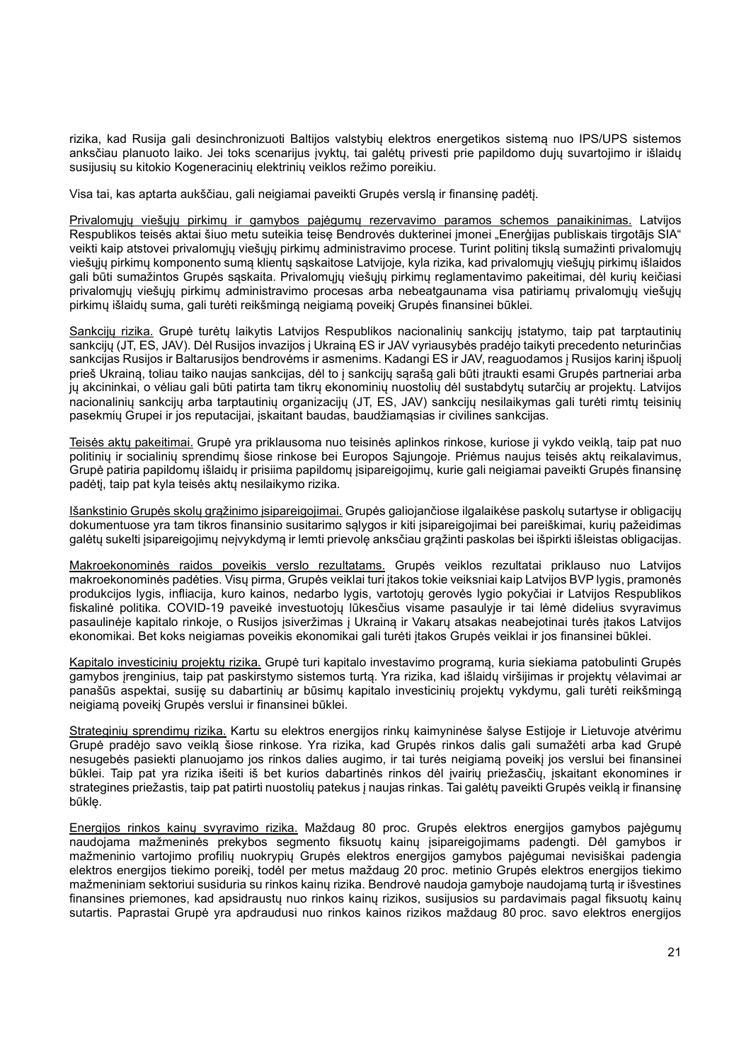rizika, kad Rusija gali desinchronizuoti Baltijos valstybių elektros energetikos sistemą nuo IPS/UPS sistemos anksčiau planuoto laiko. Jei toks scenarijus įvyktų, tai galėtų privesti prie papildomo dujų suvartojimo ir išlaidų susijusių su kitokio Kogeneracinių elektrinių veiklos režimo poreikiu.

Visa tai, kas aptarta aukščiau, gali neigiamai paveikti Grupės verslą ir finansinę padėtį.

Privalomųjų viešųjų pirkimų ir gamybos pajėgumų rezervavimo paramos schemos panaikinimas. Latvijos Respublikos teisės aktai šiuo metu suteikia teisę Bendrovės dukterinei imonei "Enerģijas publiskais tirgotājs SIA" veikti kaip atstovei privalomųjų viešųjų pirkimų administravimo procese. Turint politinį tikslą sumažinti privalomųjų viešųjų pirkimų komponento sumą klientų sąskaitose Latvijoje, kyla rizika, kad privalomųjų viešųjų pirkimų išlaidos gali būti sumažintos Grupės sąskaita. Privalomųjų viešųjų pirkimų reglamentavimo pakeitimai, dėl kurių keičiasi privalomųjų viešųjų pirkimų administravimo procesas arba nebeatgaunama visa patiriamų privalomųjų viešųjų pirkimų išlaidų suma, gali turėti reikšmingą neigiamą poveikį Grupės finansinei būklei.

Sankcijų rizika. Grupė turėtų laikytis Latvijos Respublikos nacionalinių sankcijų įstatymo, taip pat tarptautinių sankcijų (JT, ES, JAV). Dėl Rusijos invazijos į Ukrainą ES ir JAV vyriausybės pradėjo taikyti precedento neturinčias sankcijas Rusijos ir Baltarusijos bendrovėms ir asmenims. Kadangi ES ir JAV, reaguodamos į Rusijos karinį išpuolį prieš Ukrainą, toliau taiko naujas sankcijas, dėl to į sankcijų sąrašą gali būti įtraukti esami Grupės partneriai arba jų akcininkai, o vėliau gali būti patirta tam tikrų ekonominių nuostolių dėl sustabdytų sutarčių ar projektų. Latvijos nacionalinių sankcijų arba tarptautinių organizacijų (JT, ES, JAV) sankcijų nesilaikymas gali turėti rimtų teisinių pasekmių Grupei ir jos reputacijai, įskaitant baudas, baudžiamąsias ir civilines sankcijas.

Teisės aktų pakeitimai. Grupė yra priklausoma nuo teisinės aplinkos rinkose, kuriose ji vykdo veiklą, taip pat nuo politinių ir socialinių sprendimų šiose rinkose bei Europos Sąjungoje. Priėmus naujus teisės aktų reikalavimus, Grupė patiria papildomų išlaidų ir prisiima papildomų įsipareigojimų, kurie gali neigiamai paveikti Grupės finansinę padėtį, taip pat kyla teisės aktų nesilaikymo rizika.

Išankstinio Grupės skolų grąžinimo įsipareigojimai. Grupės galiojančiose ilgalaikėse paskolų sutartyse ir obligacijų dokumentuose yra tam tikros finansinio susitarimo sąlygos ir kiti įsipareigojimai bei pareiškimai, kurių pažeidimas galėtų sukelti įsipareigojimų neįvykdymą ir lemti prievolę anksčiau grąžinti paskolas bei išpirkti išleistas obligacijas.

Makroekonominės raidos poveikis verslo rezultatams. Grupės veiklos rezultatai priklauso nuo Latvijos makroekonominės padėties. Visų pirma, Grupės veiklai turi įtakos tokie veiksniai kaip Latvijos BVP lygis, pramonės produkcijos lygis, infliacija, kuro kainos, nedarbo lygis, vartotojų gerovės lygio pokyčiai ir Latvijos Respublikos fiskalinė politika. COVID-19 paveikė investuotojų lūkesčius visame pasaulyje ir tai lėmė didelius svyravimus pasaulinėje kapitalo rinkoje, o Rusijos įsiveržimas į Ukrainą ir Vakarų atsakas neabejotinai turės įtakos Latvijos ekonomikai. Bet koks neigiamas poveikis ekonomikai gali turėti įtakos Grupės veiklai ir jos finansinei būklei.

Kapitalo investicinių projektų rizika. Grupė turi kapitalo investavimo programą, kuria siekiama patobulinti Grupės gamybos įrenginius, taip pat paskirstymo sistemos turtą. Yra rizika, kad išlaidų viršijimas ir projektų vėlavimai ar panašūs aspektai, susiję su dabartinių ar būsimų kapitalo investicinių projektų vykdymu, gali turėti reikšmingą neigiamą poveikį Grupės verslui ir finansinei būklei.

Strateginių sprendimų rizika. Kartu su elektros energijos rinkų kaimyninėse šalyse Estijoje ir Lietuvoje atvėrimu Grupė pradėjo savo veiklą šiose rinkose. Yra rizika, kad Grupės rinkos dalis gali sumažėti arba kad Grupė nesugebės pasiekti planuojamo jos rinkos dalies augimo, ir tai turės neigiamą poveikį jos verslui bei finansinei būklei. Taip pat yra rizika išeiti iš bet kurios dabartinės rinkos dėl įvairių priežasčių, įskaitant ekonomines ir strategines priežastis, taip pat patirti nuostolių patekus į naujas rinkas. Tai galėtų paveikti Grupės veiklą ir finansinę būklę.

Energijos rinkos kainų svyravimo rizika. Maždaug 80 proc. Grupės elektros energijos gamybos pajėgumų naudojama mažmeninės prekybos segmento fiksuotų kainų įsipareigojimams padengti. Dėl gamybos ir mažmeninio vartojimo profilių nuokrypių Grupės elektros energijos gamybos pajėgumai nevisiškai padengia elektros energijos tiekimo poreikį, todėl per metus maždaug 20 proc. metinio Grupės elektros energijos tiekimo mažmeniniam sektoriui susiduria su rinkos kainų rizika. Bendrovė naudoja gamyboje naudojamą turtą ir išvestines finansines priemones, kad apsidraustų nuo rinkos kainų rizikos, susijusios su pardavimais pagal fiksuotų kainų sutartis. Paprastai Grupė yra apdraudusi nuo rinkos kainos rizikos maždaug 80 proc. savo elektros energijos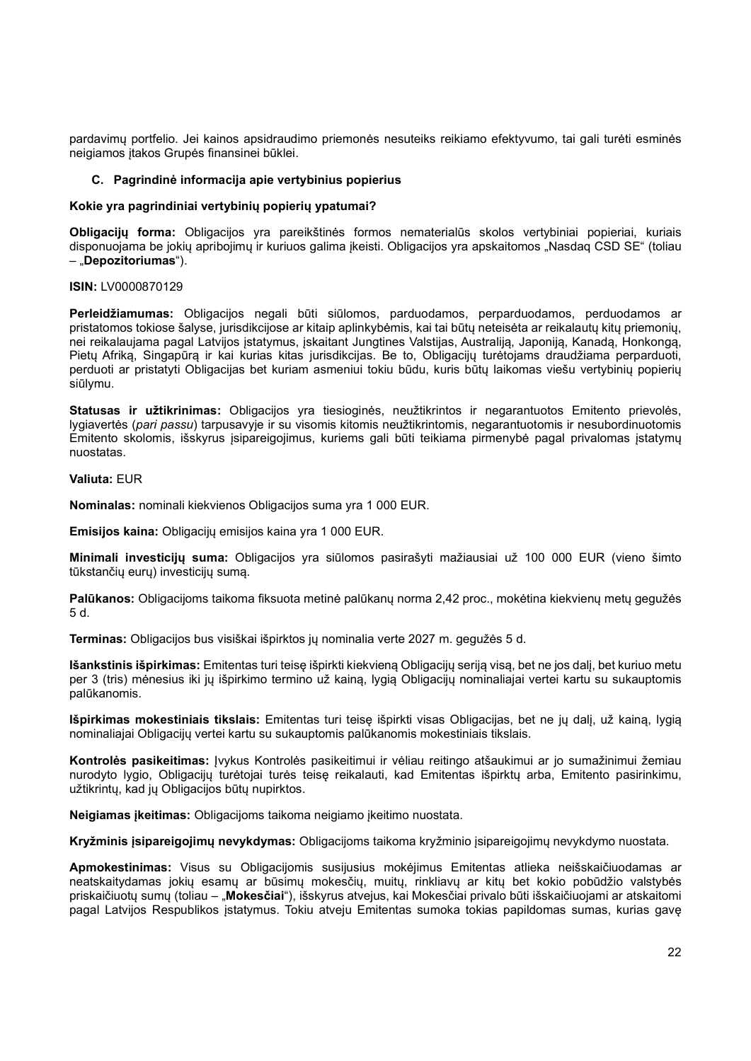pardavimų portfelio. Jei kainos apsidraudimo priemonės nesuteiks reikiamo efektyvumo, tai gali turėti esminės neigiamos įtakos Grupės finansinei būklei.

# C. Pagrindinė informacija apie vertybinius popierius

## Kokie yra pagrindiniai vertybinių popierių ypatumai?

Obligacijų forma: Obligacijos yra pareikštinės formos nematerialūs skolos vertybiniai popieriai, kuriais disponuojama be jokių apribojimų ir kuriuos galima įkeisti. Obligacijos yra apskaitomos "Nasdaq CSD SE" (toliau – "Depozitoriumas").

## ISIN: LV0000870129

Perleidžiamumas: Obligacijos negali būti siūlomos, parduodamos, perparduodamos, perduodamos ar pristatomos tokiose šalyse, jurisdikcijose ar kitaip aplinkybėmis, kai tai būtų neteisėta ar reikalautų kitų priemonių, nei reikalaujama pagal Latvijos įstatymus, įskaitant Jungtines Valstijas, Australiją, Japoniją, Kanadą, Honkongą, Pietų Afriką, Singapūrą ir kai kurias kitas jurisdikcijas. Be to, Obligacijų turėtojams draudžiama perparduoti, perduoti ar pristatyti Obligacijas bet kuriam asmeniui tokiu būdu, kuris būtų laikomas viešu vertybinių popierių siūlymu.

Statusas ir užtikrinimas: Obligacijos yra tiesioginės, neužtikrintos ir negarantuotos Emitento prievolės, lygiavertės (pari passu) tarpusavyje ir su visomis kitomis neužtikrintomis, negarantuotomis ir nesubordinuotomis Emitento skolomis, išskyrus įsipareigojimus, kuriems gali būti teikiama pirmenybė pagal privalomas įstatymų nuostatas.

## Valiuta: EUR

Nominalas: nominali kiekvienos Obligacijos suma yra 1 000 EUR.

Emisijos kaina: Obligacijų emisijos kaina yra 1 000 EUR.

Minimali investicijų suma: Obligacijos yra siūlomos pasirašyti mažiausiai už 100 000 EUR (vieno šimto tūkstančių eurų) investicijų sumą.

Palūkanos: Obligacijoms taikoma fiksuota metinė palūkanų norma 2,42 proc., mokėtina kiekvienų metų gegužės 5 d.

Terminas: Obligacijos bus visiškai išpirktos jų nominalia verte 2027 m. gegužės 5 d.

Išankstinis išpirkimas: Emitentas turi teisę išpirkti kiekvieną Obligacijų seriją visą, bet ne jos dalį, bet kuriuo metu per 3 (tris) mėnesius iki jų išpirkimo termino už kainą, lygią Obligacijų nominaliajai vertei kartu su sukauptomis palūkanomis.

Išpirkimas mokestiniais tikslais: Emitentas turi teisę išpirkti visas Obligacijas, bet ne jų dalį, už kainą, lygią nominaliajai Obligacijų vertei kartu su sukauptomis palūkanomis mokestiniais tikslais.

Kontrolės pasikeitimas: Įvykus Kontrolės pasikeitimui ir vėliau reitingo atšaukimui ar jo sumažinimui žemiau nurodyto lygio, Obligacijų turėtojai turės teisę reikalauti, kad Emitentas išpirktų arba, Emitento pasirinkimu, užtikrintų, kad jų Obligacijos būtų nupirktos.

Neigiamas įkeitimas: Obligacijoms taikoma neigiamo įkeitimo nuostata.

Kryžminis įsipareigojimų nevykdymas: Obligacijoms taikoma kryžminio įsipareigojimų nevykdymo nuostata.

Apmokestinimas: Visus su Obligacijomis susijusius mokėjimus Emitentas atlieka neišskaičiuodamas ar neatskaitydamas jokių esamų ar būsimų mokesčių, muitų, rinkliavų ar kitų bet kokio pobūdžio valstybės priskaičiuotų sumų (toliau – "Mokesčiai"), išskyrus atvejus, kai Mokesčiai privalo būti išskaičiuojami ar atskaitomi pagal Latvijos Respublikos įstatymus. Tokiu atveju Emitentas sumoka tokias papildomas sumas, kurias gavę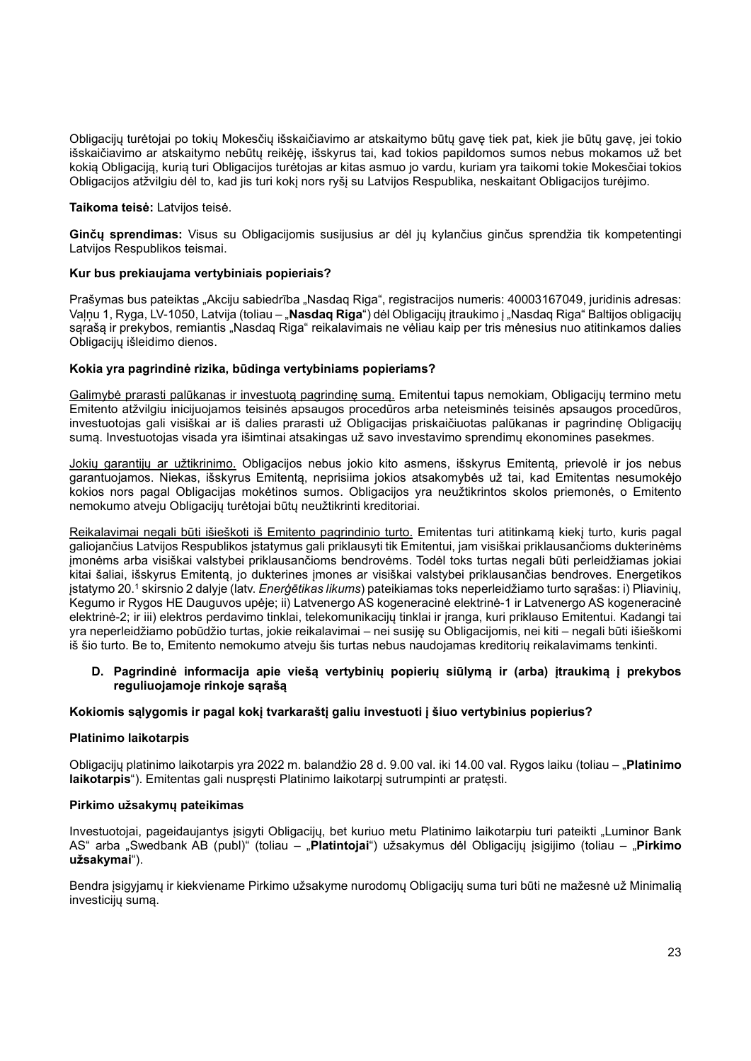Obligacijų turėtojai po tokių Mokesčių išskaičiavimo ar atskaitymo būtų gavę tiek pat, kiek jie būtų gavę, jei tokio išskaičiavimo ar atskaitymo nebūtų reikėję, išskyrus tai, kad tokios papildomos sumos nebus mokamos už bet kokią Obligaciją, kurią turi Obligacijos turėtojas ar kitas asmuo jo vardu, kuriam yra taikomi tokie Mokesčiai tokios Obligacijos atžvilgiu dėl to, kad jis turi kokį nors ryšį su Latvijos Respublika, neskaitant Obligacijos turėjimo.

## Taikoma teisė: Latvijos teisė.

Ginču sprendimas: Visus su Obligacijomis susijusius ar dėl ju kylančius ginčus sprendžia tik kompetentingi Latvijos Respublikos teismai.

# Kur bus prekiaujama vertybiniais popieriais?

Prašymas bus pateiktas "Akciju sabiedrība "Nasdaq Riga", registracijos numeris: 40003167049, juridinis adresas: Valnu 1, Ryga, LV-1050, Latvija (toliau – "Nasdaq Riga") dėl Obligacijų itraukimo į "Nasdag Riga" Baltijos obligacijų sąrašą ir prekybos, remiantis "Nasdaq Riga" reikalavimais ne vėliau kaip per tris mėnesius nuo atitinkamos dalies Obligacijų išleidimo dienos.

# Kokia yra pagrindinė rizika, būdinga vertybiniams popieriams?

Galimybė prarasti palūkanas ir investuotą pagrindinę sumą. Emitentui tapus nemokiam, Obligacijų termino metu Emitento atžvilgiu inicijuojamos teisinės apsaugos procedūros arba neteisminės teisinės apsaugos procedūros, investuotojas gali visiškai ar iš dalies prarasti už Obligacijas priskaičiuotas palūkanas ir pagrindinę Obligacijų sumą. Investuotojas visada yra išimtinai atsakingas už savo investavimo sprendimų ekonomines pasekmes.

Jokių garantijų ar užtikrinimo. Obligacijos nebus jokio kito asmens, išskyrus Emitentą, prievolė ir jos nebus garantuojamos. Niekas, išskyrus Emitentą, neprisiima jokios atsakomybės už tai, kad Emitentas nesumokėjo kokios nors pagal Obligacijas mokėtinos sumos. Obligacijos yra neužtikrintos skolos priemonės, o Emitento nemokumo atveju Obligacijų turėtojai būtų neužtikrinti kreditoriai.

Reikalavimai negali būti išieškoti iš Emitento pagrindinio turto. Emitentas turi atitinkamą kiekį turto, kuris pagal galiojančius Latvijos Respublikos įstatymus gali priklausyti tik Emitentui, jam visiškai priklausančioms dukterinėms įmonėms arba visiškai valstybei priklausančioms bendrovėms. Todėl toks turtas negali būti perleidžiamas jokiai kitai šaliai, išskyrus Emitentą, jo dukterines įmones ar visiškai valstybei priklausančias bendroves. Energetikos įstatymo 20.<sup>1</sup> skirsnio 2 dalyje (latv. *Enerģētikas likums*) pateikiamas toks neperleidžiamo turto sąrašas: i) Pliavinių, Kegumo ir Rygos HE Dauguvos upėje; ii) Latvenergo AS kogeneracinė elektrinė-1 ir Latvenergo AS kogeneracinė elektrinė-2; ir iii) elektros perdavimo tinklai, telekomunikacijų tinklai ir įranga, kuri priklauso Emitentui. Kadangi tai yra neperleidžiamo pobūdžio turtas, jokie reikalavimai – nei susiję su Obligacijomis, nei kiti – negali būti išieškomi iš šio turto. Be to, Emitento nemokumo atveju šis turtas nebus naudojamas kreditorių reikalavimams tenkinti.

# D. Pagrindinė informacija apie viešą vertybinių popierių siūlymą ir (arba) įtraukimą į prekybos reguliuojamoje rinkoje sąrašą

## Kokiomis sąlygomis ir pagal kokį tvarkaraštį galiu investuoti į šiuo vertybinius popierius?

## Platinimo laikotarpis

Obligacijų platinimo laikotarpis yra 2022 m. balandžio 28 d. 9.00 val. iki 14.00 val. Rygos laiku (toliau – "Platinimo laikotarpis"). Emitentas gali nuspręsti Platinimo laikotarpį sutrumpinti ar pratęsti.

## Pirkimo užsakymų pateikimas

Investuotojai, pageidaujantys įsigyti Obligacijų, bet kuriuo metu Platinimo laikotarpiu turi pateikti "Luminor Bank AS" arba "Swedbank AB (publ)" (toliau – "Platintojai") užsakymus dėl Obligacijų įsigijimo (toliau – "Pirkimo užsakymai").

Bendra įsigyjamų ir kiekviename Pirkimo užsakyme nurodomų Obligacijų suma turi būti ne mažesnė už Minimalią investicijų sumą.